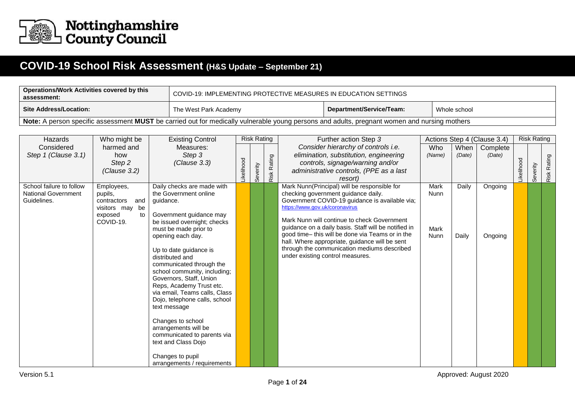

## **COVID-19 School Risk Assessment (H&S Update – September 21)**

| <b>Operations/Work Activities covered by this</b><br>assessment:                                                                             | . COVID-19: IMPLEMENTING PROTECTIVE MEASURES IN EDUCATION SETTINGS |                          |              |  |  |  |  |  |  |  |  |
|----------------------------------------------------------------------------------------------------------------------------------------------|--------------------------------------------------------------------|--------------------------|--------------|--|--|--|--|--|--|--|--|
| Site Address/Location:                                                                                                                       | The West Park Academy                                              | Department/Service/Team: | Whole school |  |  |  |  |  |  |  |  |
| Note: A person specific assessment MUST be carried out for medically vulnerable young persons and adults, pregnant women and nursing mothers |                                                                    |                          |              |  |  |  |  |  |  |  |  |

| Hazards                                   | Who might be                          | <b>Existing Control</b>                   |           | <b>Risk Rating</b> |             | Further action Step 3                                                                              |        |        | Actions Step 4 (Clause 3.4) |           | <b>Risk Rating</b> |             |
|-------------------------------------------|---------------------------------------|-------------------------------------------|-----------|--------------------|-------------|----------------------------------------------------------------------------------------------------|--------|--------|-----------------------------|-----------|--------------------|-------------|
| Considered                                | harmed and                            | Measures:                                 |           |                    |             | Consider hierarchy of controls i.e.                                                                | Who    | When   | Complete                    |           |                    |             |
| Step 1 (Clause 3.1)                       | how                                   | Step 3                                    |           |                    |             | elimination, substitution, engineering                                                             | (Name) | (Date) | (Date)                      |           |                    |             |
|                                           | Step 2                                | (Clause 3.3)                              |           |                    |             | controls, signage/warning and/or                                                                   |        |        |                             |           |                    |             |
|                                           | (Clause 3.2)                          |                                           | ikelihood | Severity           | Risk Rating | administrative controls, (PPE as a last                                                            |        |        |                             | ikelihood | Severity           | Risk Rating |
|                                           |                                       |                                           |           |                    |             | resort)                                                                                            |        |        |                             |           |                    |             |
| School failure to follow                  | Employees,                            | Daily checks are made with                |           |                    |             | Mark Nunn(Principal) will be responsible for                                                       | Mark   | Daily  | Ongoing                     |           |                    |             |
| <b>National Government</b><br>Guidelines. | pupils,                               | the Government online                     |           |                    |             | checking government guidance daily.                                                                | Nunn   |        |                             |           |                    |             |
|                                           | and<br>contractors<br>visitors may be | guidance.                                 |           |                    |             | Government COVID-19 guidance is available via;<br>https://www.gov.uk/coronavirus                   |        |        |                             |           |                    |             |
|                                           | exposed<br>to                         | Government guidance may                   |           |                    |             |                                                                                                    |        |        |                             |           |                    |             |
|                                           | COVID-19.                             | be issued overnight; checks               |           |                    |             | Mark Nunn will continue to check Government                                                        |        |        |                             |           |                    |             |
|                                           |                                       | must be made prior to                     |           |                    |             | guidance on a daily basis. Staff will be notified in                                               | Mark   |        |                             |           |                    |             |
|                                           |                                       | opening each day.                         |           |                    |             | good time- this will be done via Teams or in the<br>hall. Where appropriate, guidance will be sent | Nunn   | Daily  | Ongoing                     |           |                    |             |
|                                           |                                       |                                           |           |                    |             | through the communication mediums described                                                        |        |        |                             |           |                    |             |
|                                           |                                       | Up to date guidance is<br>distributed and |           |                    |             | under existing control measures.                                                                   |        |        |                             |           |                    |             |
|                                           |                                       | communicated through the                  |           |                    |             |                                                                                                    |        |        |                             |           |                    |             |
|                                           |                                       | school community, including;              |           |                    |             |                                                                                                    |        |        |                             |           |                    |             |
|                                           |                                       | Governors, Staff, Union                   |           |                    |             |                                                                                                    |        |        |                             |           |                    |             |
|                                           |                                       | Reps, Academy Trust etc.                  |           |                    |             |                                                                                                    |        |        |                             |           |                    |             |
|                                           |                                       | via email, Teams calls, Class             |           |                    |             |                                                                                                    |        |        |                             |           |                    |             |
|                                           |                                       | Dojo, telephone calls, school             |           |                    |             |                                                                                                    |        |        |                             |           |                    |             |
|                                           |                                       | text message                              |           |                    |             |                                                                                                    |        |        |                             |           |                    |             |
|                                           |                                       | Changes to school                         |           |                    |             |                                                                                                    |        |        |                             |           |                    |             |
|                                           |                                       | arrangements will be                      |           |                    |             |                                                                                                    |        |        |                             |           |                    |             |
|                                           |                                       | communicated to parents via               |           |                    |             |                                                                                                    |        |        |                             |           |                    |             |
|                                           |                                       | text and Class Dojo                       |           |                    |             |                                                                                                    |        |        |                             |           |                    |             |
|                                           |                                       | Changes to pupil                          |           |                    |             |                                                                                                    |        |        |                             |           |                    |             |
|                                           |                                       | arrangements / requirements               |           |                    |             |                                                                                                    |        |        |                             |           |                    |             |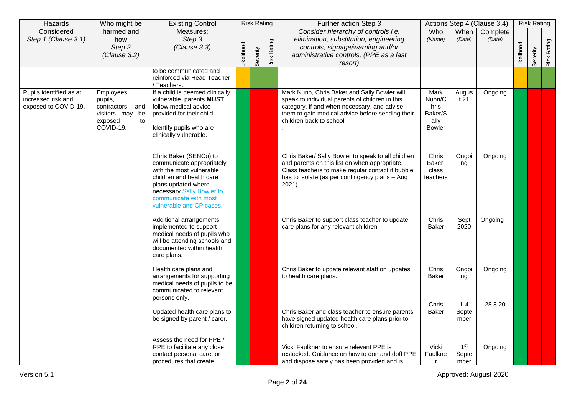| Hazards                                                               | Who might be                                                                              | <b>Existing Control</b>                                                                                                                                                                                              |                   | <b>Risk Rating</b> |             | Further action Step 3                                                                                                                                                                                                         |                                                            |                                  | Actions Step 4 (Clause 3.4) |           | <b>Risk Rating</b> |             |
|-----------------------------------------------------------------------|-------------------------------------------------------------------------------------------|----------------------------------------------------------------------------------------------------------------------------------------------------------------------------------------------------------------------|-------------------|--------------------|-------------|-------------------------------------------------------------------------------------------------------------------------------------------------------------------------------------------------------------------------------|------------------------------------------------------------|----------------------------------|-----------------------------|-----------|--------------------|-------------|
| Considered<br>Step 1 (Clause 3.1)                                     | harmed and<br>how<br>Step 2<br>(Clause 3.2)                                               | Measures:<br>Step 3<br>(Clause 3.3)                                                                                                                                                                                  | <b>Likelihood</b> | Severity           | Risk Rating | Consider hierarchy of controls i.e.<br>elimination, substitution, engineering<br>controls, signage/warning and/or<br>administrative controls, (PPE as a last<br>resort)                                                       | Who<br>(Name)                                              | When<br>(Date)                   | Complete<br>(Date)          | ikelihood | Severity           | Risk Rating |
|                                                                       |                                                                                           | to be communicated and<br>reinforced via Head Teacher<br>/ Teachers.                                                                                                                                                 |                   |                    |             |                                                                                                                                                                                                                               |                                                            |                                  |                             |           |                    |             |
| Pupils identified as at<br>increased risk and<br>exposed to COVID-19. | Employees,<br>pupils,<br>contractors and<br>visitors may be<br>exposed<br>to<br>COVID-19. | If a child is deemed clinically<br>vulnerable, parents MUST<br>follow medical advice<br>provided for their child.<br>Identify pupils who are<br>clinically vulnerable.                                               |                   |                    |             | Mark Nunn, Chris Baker and Sally Bowler will<br>speak to individual parents of children in this<br>category, if and when necessary, and advise<br>them to gain medical advice before sending their<br>children back to school | Mark<br>Nunn/C<br>hris<br>Baker/S<br>ally<br><b>Bowler</b> | Augus<br>t 21                    | Ongoing                     |           |                    |             |
|                                                                       |                                                                                           | Chris Baker (SENCo) to<br>communicate appropriately<br>with the most vulnerable<br>children and health care<br>plans updated where<br>necessary Sally Bowler to<br>communicate with most<br>vulnerable and CP cases. |                   |                    |             | Chris Baker/ Sally Bowler to speak to all children<br>and parents on this list on when appropriate.<br>Class teachers to make regular contact if bubble<br>has to isolate (as per contingency plans - Aug<br>2021)            | Chris<br>Baker,<br>class<br>teachers                       | Ongoi<br>ng                      | Ongoing                     |           |                    |             |
|                                                                       |                                                                                           | Additional arrangements<br>implemented to support<br>medical needs of pupils who<br>will be attending schools and<br>documented within health<br>care plans.                                                         |                   |                    |             | Chris Baker to support class teacher to update<br>care plans for any relevant children                                                                                                                                        | Chris<br><b>Baker</b>                                      | Sept<br>2020                     | Ongoing                     |           |                    |             |
|                                                                       |                                                                                           | Health care plans and<br>arrangements for supporting<br>medical needs of pupils to be<br>communicated to relevant<br>persons only.                                                                                   |                   |                    |             | Chris Baker to update relevant staff on updates<br>to health care plans.                                                                                                                                                      | Chris<br><b>Baker</b>                                      | Ongoi<br>ng                      | Ongoing                     |           |                    |             |
|                                                                       |                                                                                           | Updated health care plans to<br>be signed by parent / carer.                                                                                                                                                         |                   |                    |             | Chris Baker and class teacher to ensure parents<br>have signed updated health care plans prior to<br>children returning to school.                                                                                            | Chris<br><b>Baker</b>                                      | $1 - 4$<br>Septe<br>mber         | 28.8.20                     |           |                    |             |
|                                                                       |                                                                                           | Assess the need for PPE /<br>RPE to facilitate any close<br>contact personal care, or<br>procedures that create                                                                                                      |                   |                    |             | Vicki Faulkner to ensure relevant PPE is<br>restocked. Guidance on how to don and doff PPE<br>and dispose safely has been provided and is                                                                                     | Vicki<br>Faulkne<br>r                                      | 1 <sup>st</sup><br>Septe<br>mber | Ongoing                     |           |                    |             |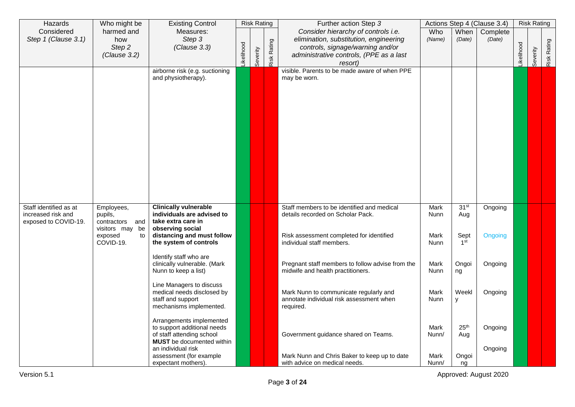| Hazards                                                              | Who might be                                                                              | <b>Existing Control</b>                                                                                                                                      |           | <b>Risk Rating</b> |                    | Further action Step 3                                                                                                                                                   |                                     |                                                    | Actions Step 4 (Clause 3.4) |           | <b>Risk Rating</b> |             |
|----------------------------------------------------------------------|-------------------------------------------------------------------------------------------|--------------------------------------------------------------------------------------------------------------------------------------------------------------|-----------|--------------------|--------------------|-------------------------------------------------------------------------------------------------------------------------------------------------------------------------|-------------------------------------|----------------------------------------------------|-----------------------------|-----------|--------------------|-------------|
| Considered<br>Step 1 (Clause 3.1)                                    | harmed and<br>how<br>Step 2<br>(Clause 3.2)                                               | Measures:<br>Step 3<br>(Clause 3.3)                                                                                                                          | ikelihood | Severity           | <b>Risk Rating</b> | Consider hierarchy of controls i.e.<br>elimination, substitution, engineering<br>controls, signage/warning and/or<br>administrative controls, (PPE as a last<br>resort) | Who<br>(Name)                       | When<br>(Date)                                     | Complete<br>(Date)          | ikelihood | Severity           | Risk Rating |
|                                                                      |                                                                                           | airborne risk (e.g. suctioning<br>and physiotherapy).                                                                                                        |           |                    |                    | visible. Parents to be made aware of when PPE<br>may be worn.                                                                                                           |                                     |                                                    |                             |           |                    |             |
| Staff identified as at<br>increased risk and<br>exposed to COVID-19. | Employees,<br>pupils,<br>contractors and<br>visitors may be<br>exposed<br>to<br>COVID-19. | <b>Clinically vulnerable</b><br>individuals are advised to<br>take extra care in<br>observing social<br>distancing and must follow<br>the system of controls |           |                    |                    | Staff members to be identified and medical<br>details recorded on Scholar Pack.<br>Risk assessment completed for identified<br>individual staff members.                | <b>Mark</b><br>Nunn<br>Mark<br>Nunn | 31 <sup>st</sup><br>Aug<br>Sept<br>1 <sup>st</sup> | Ongoing<br>Ongoing          |           |                    |             |
|                                                                      |                                                                                           | Identify staff who are<br>clinically vulnerable. (Mark<br>Nunn to keep a list)                                                                               |           |                    |                    | Pregnant staff members to follow advise from the<br>midwife and health practitioners.                                                                                   | Mark<br><b>Nunn</b>                 | Ongoi<br>ng                                        | Ongoing                     |           |                    |             |
|                                                                      |                                                                                           | Line Managers to discuss<br>medical needs disclosed by<br>staff and support<br>mechanisms implemented.                                                       |           |                    |                    | Mark Nunn to communicate regularly and<br>annotate individual risk assessment when<br>required.                                                                         | Mark<br>Nunn                        | Weekl<br>у                                         | Ongoing                     |           |                    |             |
|                                                                      |                                                                                           | Arrangements implemented<br>to support additional needs<br>of staff attending school<br><b>MUST</b> be documented within                                     |           |                    |                    | Government guidance shared on Teams.                                                                                                                                    | Mark<br>Nunn/                       | 25 <sup>th</sup><br>Aug                            | Ongoing                     |           |                    |             |
|                                                                      |                                                                                           | an individual risk<br>assessment (for example<br>expectant mothers).                                                                                         |           |                    |                    | Mark Nunn and Chris Baker to keep up to date<br>with advice on medical needs.                                                                                           | Mark<br>Nunn/                       | Ongoi<br>ng                                        | Ongoing                     |           |                    |             |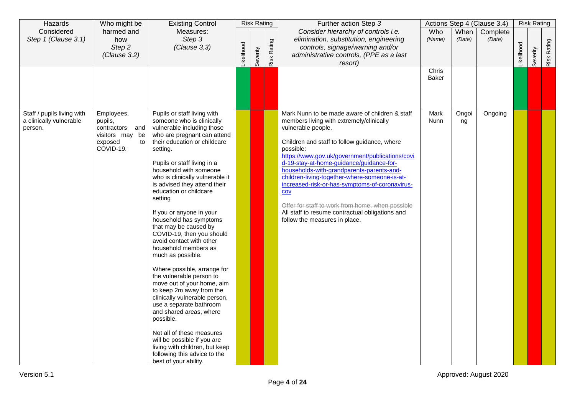| Hazards                                                          | Who might be                                                                              | <b>Existing Control</b>                                                                                                                                                                                                                                                                                                                                                                                                                                                                                                                                                                                                                                                                                                                                                                                                                                                                                 |            | <b>Risk Rating</b> |             | Further action Step 3                                                                                                                                                                                                                                                                                                                                                                                                                                                                                                                                                       |                |                | Actions Step 4 (Clause 3.4) |           | <b>Risk Rating</b> |             |
|------------------------------------------------------------------|-------------------------------------------------------------------------------------------|---------------------------------------------------------------------------------------------------------------------------------------------------------------------------------------------------------------------------------------------------------------------------------------------------------------------------------------------------------------------------------------------------------------------------------------------------------------------------------------------------------------------------------------------------------------------------------------------------------------------------------------------------------------------------------------------------------------------------------------------------------------------------------------------------------------------------------------------------------------------------------------------------------|------------|--------------------|-------------|-----------------------------------------------------------------------------------------------------------------------------------------------------------------------------------------------------------------------------------------------------------------------------------------------------------------------------------------------------------------------------------------------------------------------------------------------------------------------------------------------------------------------------------------------------------------------------|----------------|----------------|-----------------------------|-----------|--------------------|-------------|
| Considered<br>Step 1 (Clause 3.1)                                | harmed and<br>how<br>Step 2<br>(Clause 3.2)                                               | Measures:<br>Step 3<br>(Clause 3.3)                                                                                                                                                                                                                                                                                                                                                                                                                                                                                                                                                                                                                                                                                                                                                                                                                                                                     | Likelihood | Severity           | Risk Rating | Consider hierarchy of controls i.e.<br>elimination, substitution, engineering<br>controls, signage/warning and/or<br>administrative controls, (PPE as a last<br>resort)                                                                                                                                                                                                                                                                                                                                                                                                     | Who<br>(Name)  | When<br>(Date) | Complete<br>(Date)          | ikelihood | Severity           | Risk Rating |
|                                                                  |                                                                                           |                                                                                                                                                                                                                                                                                                                                                                                                                                                                                                                                                                                                                                                                                                                                                                                                                                                                                                         |            |                    |             |                                                                                                                                                                                                                                                                                                                                                                                                                                                                                                                                                                             | Chris<br>Baker |                |                             |           |                    |             |
| Staff / pupils living with<br>a clinically vulnerable<br>person. | Employees,<br>pupils,<br>contractors and<br>visitors may be<br>exposed<br>to<br>COVID-19. | Pupils or staff living with<br>someone who is clinically<br>vulnerable including those<br>who are pregnant can attend<br>their education or childcare<br>setting.<br>Pupils or staff living in a<br>household with someone<br>who is clinically vulnerable it<br>is advised they attend their<br>education or childcare<br>setting<br>If you or anyone in your<br>household has symptoms<br>that may be caused by<br>COVID-19, then you should<br>avoid contact with other<br>household members as<br>much as possible.<br>Where possible, arrange for<br>the vulnerable person to<br>move out of your home, aim<br>to keep 2m away from the<br>clinically vulnerable person,<br>use a separate bathroom<br>and shared areas, where<br>possible.<br>Not all of these measures<br>will be possible if you are<br>living with children, but keep<br>following this advice to the<br>best of your ability. |            |                    |             | Mark Nunn to be made aware of children & staff<br>members living with extremely/clinically<br>vulnerable people.<br>Children and staff to follow guidance, where<br>possible:<br>https://www.gov.uk/government/publications/covi<br>d-19-stay-at-home-guidance/guidance-for-<br>households-with-grandparents-parents-and-<br>children-living-together-where-someone-is-at-<br>increased-risk-or-has-symptoms-of-coronavirus-<br>COV<br>Offer for staff to work from home, when possible<br>All staff to resume contractual obligations and<br>follow the measures in place. | Mark<br>Nunn   | Ongoi<br>ng    | Ongoing                     |           |                    |             |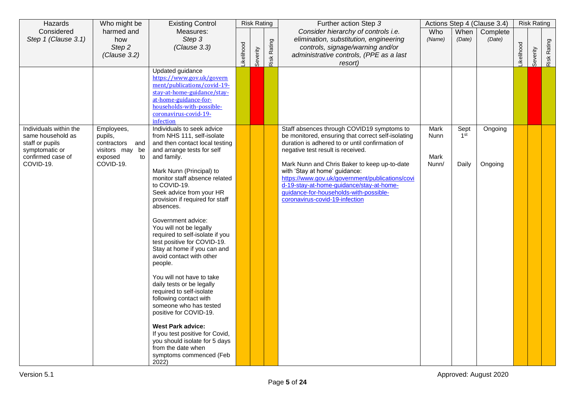| Hazards                                                                                  | Who might be                                                                | <b>Existing Control</b>                                                                                                                                                                                                                                                                                                                                                                                                                                                                                                                                                                                                                                                                                                                                                            |           | <b>Risk Rating</b> |             | Further action Step 3                                                                                                                                                                                                                                                                                                                                                                                  |                       |                          | Actions Step 4 (Clause 3.4) |            | <b>Risk Rating</b> |             |
|------------------------------------------------------------------------------------------|-----------------------------------------------------------------------------|------------------------------------------------------------------------------------------------------------------------------------------------------------------------------------------------------------------------------------------------------------------------------------------------------------------------------------------------------------------------------------------------------------------------------------------------------------------------------------------------------------------------------------------------------------------------------------------------------------------------------------------------------------------------------------------------------------------------------------------------------------------------------------|-----------|--------------------|-------------|--------------------------------------------------------------------------------------------------------------------------------------------------------------------------------------------------------------------------------------------------------------------------------------------------------------------------------------------------------------------------------------------------------|-----------------------|--------------------------|-----------------------------|------------|--------------------|-------------|
| Considered<br>Step 1 (Clause 3.1)                                                        | harmed and<br>how<br>Step 2<br>(Clause 3.2)                                 | Measures:<br>Step 3<br>(Clause 3.3)                                                                                                                                                                                                                                                                                                                                                                                                                                                                                                                                                                                                                                                                                                                                                | ikelihood | Severity           | Risk Rating | Consider hierarchy of controls i.e.<br>elimination, substitution, engineering<br>controls, signage/warning and/or<br>administrative controls, (PPE as a last<br>resort)                                                                                                                                                                                                                                | Who<br>(Name)         | When<br>(Date)           | Complete<br>(Date)          | -ikelihood | Severity           | Risk Rating |
| Individuals within the                                                                   | Employees,                                                                  | Updated guidance<br>https://www.gov.uk/govern<br>ment/publications/covid-19-<br>stay-at-home-guidance/stay-<br>at-home-guidance-for-<br>households-with-possible-<br>coronavirus-covid-19-<br>infection<br>Individuals to seek advice                                                                                                                                                                                                                                                                                                                                                                                                                                                                                                                                              |           |                    |             | Staff absences through COVID19 symptoms to                                                                                                                                                                                                                                                                                                                                                             | Mark                  | Sept                     | Ongoing                     |            |                    |             |
| same household as<br>staff or pupils<br>symptomatic or<br>confirmed case of<br>COVID-19. | pupils,<br>contractors and<br>visitors may be<br>exposed<br>to<br>COVID-19. | from NHS 111, self-isolate<br>and then contact local testing<br>and arrange tests for self<br>and family.<br>Mark Nunn (Principal) to<br>monitor staff absence related<br>to COVID-19.<br>Seek advice from your HR<br>provision if required for staff<br>absences.<br>Government advice:<br>You will not be legally<br>required to self-isolate if you<br>test positive for COVID-19.<br>Stay at home if you can and<br>avoid contact with other<br>people.<br>You will not have to take<br>daily tests or be legally<br>required to self-isolate<br>following contact with<br>someone who has tested<br>positive for COVID-19.<br>West Park advice:<br>If you test positive for Covid,<br>you should isolate for 5 days<br>from the date when<br>symptoms commenced (Feb<br>2022) |           |                    |             | be monitored, ensuring that correct self-isolating<br>duration is adhered to or until confirmation of<br>negative test result is received.<br>Mark Nunn and Chris Baker to keep up-to-date<br>with 'Stay at home' guidance:<br>https://www.gov.uk/government/publications/covi<br>d-19-stay-at-home-guidance/stay-at-home-<br>guidance-for-households-with-possible-<br>coronavirus-covid-19-infection | Nunn<br>Mark<br>Nunn/ | 1 <sup>st</sup><br>Daily | Ongoing                     |            |                    |             |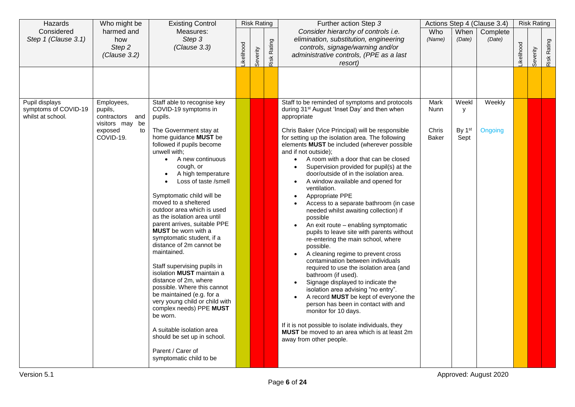| Hazards                                                     | Who might be                                                                              | <b>Existing Control</b>                                                                                                                                                                                                                                                                                                                                                                                                                                 |           | <b>Risk Rating</b> |             | Further action Step 3                                                                                                                                                                                                                                                                                                                                                                                                                                                                                                                                                                                                                                                                                                          |                                       |                                          | Actions Step 4 (Clause 3.4) |                  | <b>Risk Rating</b> |             |
|-------------------------------------------------------------|-------------------------------------------------------------------------------------------|---------------------------------------------------------------------------------------------------------------------------------------------------------------------------------------------------------------------------------------------------------------------------------------------------------------------------------------------------------------------------------------------------------------------------------------------------------|-----------|--------------------|-------------|--------------------------------------------------------------------------------------------------------------------------------------------------------------------------------------------------------------------------------------------------------------------------------------------------------------------------------------------------------------------------------------------------------------------------------------------------------------------------------------------------------------------------------------------------------------------------------------------------------------------------------------------------------------------------------------------------------------------------------|---------------------------------------|------------------------------------------|-----------------------------|------------------|--------------------|-------------|
| Considered<br>Step 1 (Clause 3.1)                           | harmed and<br>how<br>Step 2<br>(Clause 3.2)                                               | Measures:<br>Step 3<br>(Clause 3.3)                                                                                                                                                                                                                                                                                                                                                                                                                     | ikelihood | Severity           | Risk Rating | Consider hierarchy of controls i.e.<br>elimination, substitution, engineering<br>controls, signage/warning and/or<br>administrative controls, (PPE as a last<br>resort)                                                                                                                                                                                                                                                                                                                                                                                                                                                                                                                                                        | Who<br>(Name)                         | When<br>(Date)                           | Complete<br>(Date)          | <b>ikelihood</b> | Severity           | Risk Rating |
| Pupil displays<br>symptoms of COVID-19<br>whilst at school. | Employees,<br>pupils,<br>contractors and<br>visitors may be<br>exposed<br>to<br>COVID-19. | Staff able to recognise key<br>COVID-19 symptoms in<br>pupils.<br>The Government stay at<br>home guidance MUST be<br>followed if pupils become<br>unwell with;<br>A new continuous<br>$\bullet$<br>cough, or<br>A high temperature<br>$\bullet$<br>Loss of taste /smell<br>Symptomatic child will be<br>moved to a sheltered<br>outdoor area which is used<br>as the isolation area until<br>parent arrives, suitable PPE<br><b>MUST</b> be worn with a |           |                    |             | Staff to be reminded of symptoms and protocols<br>during 31 <sup>st</sup> August 'Inset Day' and then when<br>appropriate<br>Chris Baker (Vice Principal) will be responsible<br>for setting up the isolation area. The following<br>elements MUST be included (wherever possible<br>and if not outside);<br>A room with a door that can be closed<br>$\bullet$<br>Supervision provided for pupil(s) at the<br>$\bullet$<br>door/outside of in the isolation area.<br>A window available and opened for<br>ventilation.<br>Appropriate PPE<br>Access to a separate bathroom (in case<br>needed whilst awaiting collection) if<br>possible<br>An exit route - enabling symptomatic<br>pupils to leave site with parents without | Mark<br>Nunn<br>Chris<br><b>Baker</b> | Weekl<br>y<br>By 1 <sup>st</sup><br>Sept | Weekly<br>Ongoing           |                  |                    |             |
|                                                             |                                                                                           | symptomatic student, if a<br>distance of 2m cannot be<br>maintained.<br>Staff supervising pupils in<br>isolation <b>MUST</b> maintain a<br>distance of 2m, where<br>possible. Where this cannot<br>be maintained (e.g. for a<br>very young child or child with<br>complex needs) PPE MUST<br>be worn.<br>A suitable isolation area<br>should be set up in school.<br>Parent / Carer of<br>symptomatic child to be                                       |           |                    |             | re-entering the main school, where<br>possible.<br>A cleaning regime to prevent cross<br>contamination between individuals<br>required to use the isolation area (and<br>bathroom (if used).<br>Signage displayed to indicate the<br>isolation area advising "no entry".<br>A record MUST be kept of everyone the<br>person has been in contact with and<br>monitor for 10 days.<br>If it is not possible to isolate individuals, they<br>MUST be moved to an area which is at least 2m<br>away from other people.                                                                                                                                                                                                             |                                       |                                          |                             |                  |                    |             |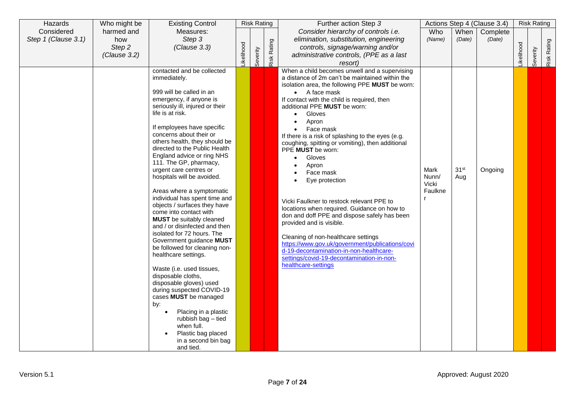| Hazards             | Who might be | <b>Existing Control</b>                                        |                  | <b>Risk Rating</b> |             | Further action Step 3                                                    |         |                  | Actions Step 4 (Clause 3.4) |           | <b>Risk Rating</b> |             |
|---------------------|--------------|----------------------------------------------------------------|------------------|--------------------|-------------|--------------------------------------------------------------------------|---------|------------------|-----------------------------|-----------|--------------------|-------------|
| Considered          | harmed and   | Measures:                                                      |                  |                    |             | Consider hierarchy of controls i.e.                                      | Who     | When             | Complete                    |           |                    |             |
| Step 1 (Clause 3.1) | how          | Step 3                                                         |                  |                    |             | elimination, substitution, engineering                                   | (Name)  | (Date)           | (Date)                      |           |                    |             |
|                     | Step 2       | (Clause 3.3)                                                   |                  |                    |             | controls, signage/warning and/or                                         |         |                  |                             |           |                    |             |
|                     | (Clause 3.2) |                                                                | <b>ikelihood</b> |                    | Risk Rating | administrative controls, (PPE as a last                                  |         |                  |                             | ikelihood | Severity           | Risk Rating |
|                     |              |                                                                |                  | Severity           |             | resort)                                                                  |         |                  |                             |           |                    |             |
|                     |              | contacted and be collected                                     |                  |                    |             | When a child becomes unwell and a supervising                            |         |                  |                             |           |                    |             |
|                     |              | immediately.                                                   |                  |                    |             | a distance of 2m can't be maintained within the                          |         |                  |                             |           |                    |             |
|                     |              | 999 will be called in an                                       |                  |                    |             | isolation area, the following PPE MUST be worn:<br>$\bullet$ A face mask |         |                  |                             |           |                    |             |
|                     |              | emergency, if anyone is                                        |                  |                    |             | If contact with the child is required, then                              |         |                  |                             |           |                    |             |
|                     |              | seriously ill, injured or their                                |                  |                    |             | additional PPE MUST be worn:                                             |         |                  |                             |           |                    |             |
|                     |              | life is at risk.                                               |                  |                    |             | Gloves<br>$\bullet$                                                      |         |                  |                             |           |                    |             |
|                     |              |                                                                |                  |                    |             | Apron                                                                    |         |                  |                             |           |                    |             |
|                     |              | If employees have specific                                     |                  |                    |             | Face mask                                                                |         |                  |                             |           |                    |             |
|                     |              | concerns about their or                                        |                  |                    |             | If there is a risk of splashing to the eyes (e.g.                        |         |                  |                             |           |                    |             |
|                     |              | others health, they should be<br>directed to the Public Health |                  |                    |             | coughing, spitting or vomiting), then additional                         |         |                  |                             |           |                    |             |
|                     |              | England advice or ring NHS                                     |                  |                    |             | PPE <b>MUST</b> be worn:                                                 |         |                  |                             |           |                    |             |
|                     |              | 111. The GP, pharmacy,                                         |                  |                    |             | Gloves<br>Apron                                                          |         |                  |                             |           |                    |             |
|                     |              | urgent care centres or                                         |                  |                    |             | Face mask                                                                | Mark    | 31 <sup>st</sup> | Ongoing                     |           |                    |             |
|                     |              | hospitals will be avoided.                                     |                  |                    |             | Eye protection                                                           | Nunn/   | Aug              |                             |           |                    |             |
|                     |              |                                                                |                  |                    |             |                                                                          | Vicki   |                  |                             |           |                    |             |
|                     |              | Areas where a symptomatic                                      |                  |                    |             |                                                                          | Faulkne |                  |                             |           |                    |             |
|                     |              | individual has spent time and<br>objects / surfaces they have  |                  |                    |             | Vicki Faulkner to restock relevant PPE to                                |         |                  |                             |           |                    |             |
|                     |              | come into contact with                                         |                  |                    |             | locations when required. Guidance on how to                              |         |                  |                             |           |                    |             |
|                     |              | <b>MUST</b> be suitably cleaned                                |                  |                    |             | don and doff PPE and dispose safely has been                             |         |                  |                             |           |                    |             |
|                     |              | and / or disinfected and then                                  |                  |                    |             | provided and is visible.                                                 |         |                  |                             |           |                    |             |
|                     |              | isolated for 72 hours. The                                     |                  |                    |             | Cleaning of non-healthcare settings                                      |         |                  |                             |           |                    |             |
|                     |              | Government guidance MUST                                       |                  |                    |             | https://www.gov.uk/government/publications/covi                          |         |                  |                             |           |                    |             |
|                     |              | be followed for cleaning non-                                  |                  |                    |             | d-19-decontamination-in-non-healthcare-                                  |         |                  |                             |           |                    |             |
|                     |              | healthcare settings.                                           |                  |                    |             | settings/covid-19-decontamination-in-non-                                |         |                  |                             |           |                    |             |
|                     |              | Waste (i.e. used tissues,                                      |                  |                    |             | healthcare-settings                                                      |         |                  |                             |           |                    |             |
|                     |              | disposable cloths,                                             |                  |                    |             |                                                                          |         |                  |                             |           |                    |             |
|                     |              | disposable gloves) used                                        |                  |                    |             |                                                                          |         |                  |                             |           |                    |             |
|                     |              | during suspected COVID-19                                      |                  |                    |             |                                                                          |         |                  |                             |           |                    |             |
|                     |              | cases MUST be managed                                          |                  |                    |             |                                                                          |         |                  |                             |           |                    |             |
|                     |              | by:                                                            |                  |                    |             |                                                                          |         |                  |                             |           |                    |             |
|                     |              | Placing in a plastic<br>rubbish bag - tied                     |                  |                    |             |                                                                          |         |                  |                             |           |                    |             |
|                     |              | when full.                                                     |                  |                    |             |                                                                          |         |                  |                             |           |                    |             |
|                     |              | Plastic bag placed                                             |                  |                    |             |                                                                          |         |                  |                             |           |                    |             |
|                     |              | in a second bin bag                                            |                  |                    |             |                                                                          |         |                  |                             |           |                    |             |
|                     |              | and tied.                                                      |                  |                    |             |                                                                          |         |                  |                             |           |                    |             |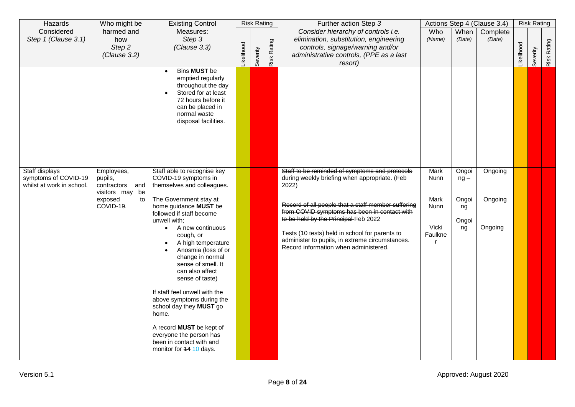| Hazards                                                             | Who might be                                                                                 | <b>Existing Control</b>                                                                                                                                                                                                                                                                                                                                                                                                                                                                                                                                                                         |                  |          | <b>Risk Rating</b> | Further action Step 3                                                                                                                                                                                                                                                                                                                                                                                |                                                         |                                               | Actions Step 4 (Clause 3.4)   |                  | <b>Risk Rating</b> |             |
|---------------------------------------------------------------------|----------------------------------------------------------------------------------------------|-------------------------------------------------------------------------------------------------------------------------------------------------------------------------------------------------------------------------------------------------------------------------------------------------------------------------------------------------------------------------------------------------------------------------------------------------------------------------------------------------------------------------------------------------------------------------------------------------|------------------|----------|--------------------|------------------------------------------------------------------------------------------------------------------------------------------------------------------------------------------------------------------------------------------------------------------------------------------------------------------------------------------------------------------------------------------------------|---------------------------------------------------------|-----------------------------------------------|-------------------------------|------------------|--------------------|-------------|
| Considered<br>Step 1 (Clause 3.1)                                   | harmed and<br>how<br>Step 2<br>(Clause 3.2)                                                  | Measures:<br>Step 3<br>(Clause 3.3)                                                                                                                                                                                                                                                                                                                                                                                                                                                                                                                                                             | <b>ikelihood</b> | Severity | Risk Rating        | Consider hierarchy of controls i.e.<br>elimination, substitution, engineering<br>controls, signage/warning and/or<br>administrative controls, (PPE as a last<br>resort)                                                                                                                                                                                                                              | Who<br>(Name)                                           | When<br>(Date)                                | Complete<br>(Date)            | <b>ikelihood</b> | Severity           | Risk Rating |
|                                                                     |                                                                                              | <b>Bins MUST be</b><br>$\bullet$<br>emptied regularly<br>throughout the day<br>Stored for at least<br>72 hours before it<br>can be placed in<br>normal waste<br>disposal facilities.                                                                                                                                                                                                                                                                                                                                                                                                            |                  |          |                    |                                                                                                                                                                                                                                                                                                                                                                                                      |                                                         |                                               |                               |                  |                    |             |
| Staff displays<br>symptoms of COVID-19<br>whilst at work in school. | Employees,<br>pupils,<br>contractors<br>and<br>visitors may be<br>exposed<br>to<br>COVID-19. | Staff able to recognise key<br>COVID-19 symptoms in<br>themselves and colleagues.<br>The Government stay at<br>home guidance MUST be<br>followed if staff become<br>unwell with;<br>A new continuous<br>$\bullet$<br>cough, or<br>A high temperature<br>$\bullet$<br>Anosmia (loss of or<br>change in normal<br>sense of smell. It<br>can also affect<br>sense of taste)<br>If staff feel unwell with the<br>above symptoms during the<br>school day they MUST go<br>home.<br>A record <b>MUST</b> be kept of<br>everyone the person has<br>been in contact with and<br>monitor for 14 10 days. |                  |          |                    | Staff to be reminded of symptoms and protocols<br>during weekly briefing when appropriate. (Feb<br>2022)<br>Record of all people that a staff member suffering<br>from COVID symptoms has been in contact with<br>to be held by the Principal Feb 2022<br>Tests (10 tests) held in school for parents to<br>administer to pupils, in extreme circumstances.<br>Record information when administered. | <b>Mark</b><br>Nunn<br>Mark<br>Nunn<br>Vicki<br>Faulkne | Ongoi<br>$ng -$<br>Ongoi<br>ng<br>Ongoi<br>ng | Ongoing<br>Ongoing<br>Ongoing |                  |                    |             |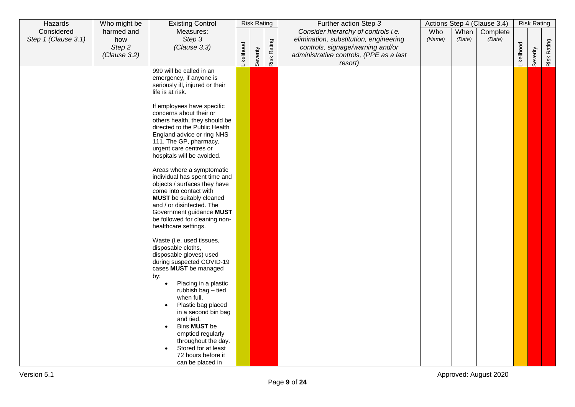| Hazards                           | Who might be                                | <b>Existing Control</b>                                                                                                                                                                                                                                                                                                                                                                                                                                                                                                                       |           | <b>Risk Rating</b> |             | Further action Step 3                                                                                                                                        |               |                | Actions Step 4 (Clause 3.4) |            | <b>Risk Rating</b> |             |
|-----------------------------------|---------------------------------------------|-----------------------------------------------------------------------------------------------------------------------------------------------------------------------------------------------------------------------------------------------------------------------------------------------------------------------------------------------------------------------------------------------------------------------------------------------------------------------------------------------------------------------------------------------|-----------|--------------------|-------------|--------------------------------------------------------------------------------------------------------------------------------------------------------------|---------------|----------------|-----------------------------|------------|--------------------|-------------|
| Considered<br>Step 1 (Clause 3.1) | harmed and<br>how<br>Step 2<br>(Clause 3.2) | Measures:<br>Step 3<br>(Clause 3.3)                                                                                                                                                                                                                                                                                                                                                                                                                                                                                                           | ikelihood | Severity           | Risk Rating | Consider hierarchy of controls i.e.<br>elimination, substitution, engineering<br>controls, signage/warning and/or<br>administrative controls, (PPE as a last | Who<br>(Name) | When<br>(Date) | Complete<br>(Date)          | Likelihood | Severity           | Risk Rating |
|                                   |                                             | 999 will be called in an<br>emergency, if anyone is<br>seriously ill, injured or their<br>life is at risk.<br>If employees have specific<br>concerns about their or<br>others health, they should be<br>directed to the Public Health<br>England advice or ring NHS<br>111. The GP, pharmacy,<br>urgent care centres or<br>hospitals will be avoided.<br>Areas where a symptomatic<br>individual has spent time and<br>objects / surfaces they have<br>come into contact with<br><b>MUST</b> be suitably cleaned<br>and / or disinfected. The |           |                    |             | resort)                                                                                                                                                      |               |                |                             |            |                    |             |
|                                   |                                             | Government guidance MUST<br>be followed for cleaning non-<br>healthcare settings.<br>Waste (i.e. used tissues,<br>disposable cloths,<br>disposable gloves) used<br>during suspected COVID-19<br>cases MUST be managed<br>by:<br>Placing in a plastic<br>$\bullet$<br>rubbish bag - tied<br>when full.<br>Plastic bag placed<br>in a second bin bag<br>and tied.<br>Bins MUST be<br>$\bullet$<br>emptied regularly<br>throughout the day.<br>Stored for at least<br>72 hours before it<br>can be placed in                                     |           |                    |             |                                                                                                                                                              |               |                |                             |            |                    |             |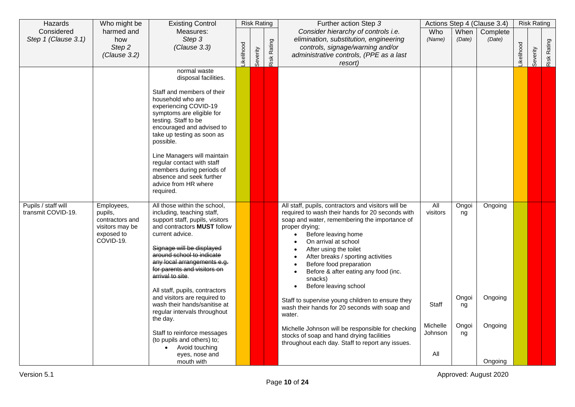| Hazards                                   | Who might be                                                                           | <b>Existing Control</b>                                                                                                                                                                                                                                                                                                                                                                                                                                                                                                                                  |           | <b>Risk Rating</b> |             | Further action Step 3                                                                                                                                                                                                                                                                                                                                                                                                                                                                                                                                                                                                                                                                           |                                                                     |                                           | Actions Step 4 (Clause 3.4)              |                  | <b>Risk Rating</b> |             |
|-------------------------------------------|----------------------------------------------------------------------------------------|----------------------------------------------------------------------------------------------------------------------------------------------------------------------------------------------------------------------------------------------------------------------------------------------------------------------------------------------------------------------------------------------------------------------------------------------------------------------------------------------------------------------------------------------------------|-----------|--------------------|-------------|-------------------------------------------------------------------------------------------------------------------------------------------------------------------------------------------------------------------------------------------------------------------------------------------------------------------------------------------------------------------------------------------------------------------------------------------------------------------------------------------------------------------------------------------------------------------------------------------------------------------------------------------------------------------------------------------------|---------------------------------------------------------------------|-------------------------------------------|------------------------------------------|------------------|--------------------|-------------|
| Considered<br>Step 1 (Clause 3.1)         | harmed and<br>how<br>Step 2<br>(Clause 3.2)                                            | Measures:<br>Step 3<br>(Clause 3.3)                                                                                                                                                                                                                                                                                                                                                                                                                                                                                                                      | ikelihood | Severity           | Risk Rating | Consider hierarchy of controls i.e.<br>elimination, substitution, engineering<br>controls, signage/warning and/or<br>administrative controls, (PPE as a last<br>resort)                                                                                                                                                                                                                                                                                                                                                                                                                                                                                                                         | Who<br>(Name)                                                       | When<br>(Date)                            | Complete<br>(Date)                       | <b>ikelihood</b> | Severity           | Risk Rating |
|                                           |                                                                                        | normal waste<br>disposal facilities.<br>Staff and members of their<br>household who are<br>experiencing COVID-19<br>symptoms are eligible for<br>testing. Staff to be<br>encouraged and advised to<br>take up testing as soon as<br>possible.<br>Line Managers will maintain<br>regular contact with staff<br>members during periods of<br>absence and seek further<br>advice from HR where<br>required.                                                                                                                                                 |           |                    |             |                                                                                                                                                                                                                                                                                                                                                                                                                                                                                                                                                                                                                                                                                                 |                                                                     |                                           |                                          |                  |                    |             |
| Pupils / staff will<br>transmit COVID-19. | Employees,<br>pupils,<br>contractors and<br>visitors may be<br>exposed to<br>COVID-19. | All those within the school,<br>including, teaching staff,<br>support staff, pupils, visitors<br>and contractors MUST follow<br>current advice.<br>Signage will be displayed<br>around school to indicate<br>any local arrangements e.g.<br>for parents and visitors on<br>arrival to site.<br>All staff, pupils, contractors<br>and visitors are required to<br>wash their hands/sanitise at<br>regular intervals throughout<br>the day.<br>Staff to reinforce messages<br>(to pupils and others) to;<br>Avoid touching<br>eyes, nose and<br>mouth with |           |                    |             | All staff, pupils, contractors and visitors will be<br>required to wash their hands for 20 seconds with<br>soap and water, remembering the importance of<br>proper drying;<br>Before leaving home<br>On arrival at school<br>After using the toilet<br>After breaks / sporting activities<br>$\bullet$<br>Before food preparation<br>Before & after eating any food (inc.<br>snacks)<br>Before leaving school<br>$\bullet$<br>Staff to supervise young children to ensure they<br>wash their hands for 20 seconds with soap and<br>water.<br>Michelle Johnson will be responsible for checking<br>stocks of soap and hand drying facilities<br>throughout each day. Staff to report any issues. | $\overline{All}$<br>visitors<br>Staff<br>Michelle<br>Johnson<br>All | Ongoi<br>ng<br>Ongoi<br>ng<br>Ongoi<br>ng | Ongoing<br>Ongoing<br>Ongoing<br>Ongoing |                  |                    |             |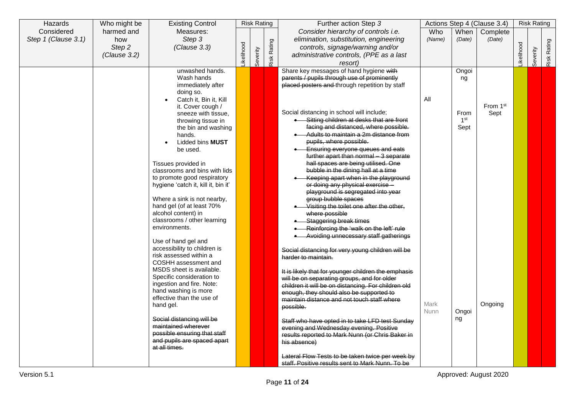| Hazards             | Who might be | <b>Existing Control</b>                           |           | <b>Risk Rating</b> |             | Further action Step 3                               |        |                         | Actions Step 4 (Clause 3.4) |                  | <b>Risk Rating</b> |             |
|---------------------|--------------|---------------------------------------------------|-----------|--------------------|-------------|-----------------------------------------------------|--------|-------------------------|-----------------------------|------------------|--------------------|-------------|
| Considered          | harmed and   | Measures:                                         |           |                    |             | Consider hierarchy of controls i.e.                 | Who    | When                    | Complete                    |                  |                    |             |
| Step 1 (Clause 3.1) | how          | Step 3                                            |           |                    |             | elimination, substitution, engineering              | (Name) | (Date)                  | (Date)                      |                  |                    |             |
|                     | Step 2       | (Clause 3.3)                                      |           |                    |             | controls, signage/warning and/or                    |        |                         |                             |                  |                    |             |
|                     | (Clause 3.2) |                                                   | ikelihood |                    |             | administrative controls, (PPE as a last             |        |                         |                             | <b>ikelihood</b> |                    |             |
|                     |              |                                                   |           | Severity           | Risk Rating | resort)                                             |        |                         |                             |                  | Severity           | Risk Rating |
|                     |              | unwashed hands.                                   |           |                    |             | Share key messages of hand hygiene with             |        | Ongoi                   |                             |                  |                    |             |
|                     |              | Wash hands                                        |           |                    |             | parents / pupils through use of prominently         |        | ng                      |                             |                  |                    |             |
|                     |              | immediately after                                 |           |                    |             | placed posters and through repetition by staff      |        |                         |                             |                  |                    |             |
|                     |              | doing so.                                         |           |                    |             |                                                     |        |                         |                             |                  |                    |             |
|                     |              | Catch it, Bin it, Kill<br>$\bullet$               |           |                    |             |                                                     | All    |                         |                             |                  |                    |             |
|                     |              | it. Cover cough /                                 |           |                    |             | Social distancing in school will include;           |        |                         | From 1st                    |                  |                    |             |
|                     |              | sneeze with tissue.                               |           |                    |             | • Sitting children at desks that are front          |        | From<br>1 <sup>st</sup> | Sept                        |                  |                    |             |
|                     |              | throwing tissue in<br>the bin and washing         |           |                    |             | facing and distanced, where possible.               |        | Sept                    |                             |                  |                    |             |
|                     |              | hands.                                            |           |                    |             | Adults to maintain a 2m distance from               |        |                         |                             |                  |                    |             |
|                     |              | Lidded bins <b>MUST</b><br>$\bullet$              |           |                    |             | pupils, where possible.                             |        |                         |                             |                  |                    |             |
|                     |              | be used.                                          |           |                    |             | Ensuring everyone queues and eats                   |        |                         |                             |                  |                    |             |
|                     |              |                                                   |           |                    |             | further apart than normal 3 separate                |        |                         |                             |                  |                    |             |
|                     |              | Tissues provided in                               |           |                    |             | hall spaces are being utilised. One                 |        |                         |                             |                  |                    |             |
|                     |              | classrooms and bins with lids                     |           |                    |             | bubble in the dining hall at a time                 |        |                         |                             |                  |                    |             |
|                     |              | to promote good respiratory                       |           |                    |             | Keeping apart when in the playground                |        |                         |                             |                  |                    |             |
|                     |              | hygiene 'catch it, kill it, bin it'               |           |                    |             | or doing any physical exercise -                    |        |                         |                             |                  |                    |             |
|                     |              |                                                   |           |                    |             | playground is segregated into year                  |        |                         |                             |                  |                    |             |
|                     |              | Where a sink is not nearby,                       |           |                    |             | group bubble spaces                                 |        |                         |                             |                  |                    |             |
|                     |              | hand gel (of at least 70%<br>alcohol content) in  |           |                    |             | Visiting the toilet one after the other,            |        |                         |                             |                  |                    |             |
|                     |              | classrooms / other learning                       |           |                    |             | where possible<br>• Staggering break times          |        |                         |                             |                  |                    |             |
|                     |              | environments.                                     |           |                    |             | Reinforcing the 'walk on the left' rule             |        |                         |                             |                  |                    |             |
|                     |              |                                                   |           |                    |             | • Avoiding unnecessary staff gatherings             |        |                         |                             |                  |                    |             |
|                     |              | Use of hand gel and                               |           |                    |             |                                                     |        |                         |                             |                  |                    |             |
|                     |              | accessibility to children is                      |           |                    |             | Social distancing for very young children will be   |        |                         |                             |                  |                    |             |
|                     |              | risk assessed within a                            |           |                    |             | harder to maintain.                                 |        |                         |                             |                  |                    |             |
|                     |              | COSHH assessment and                              |           |                    |             |                                                     |        |                         |                             |                  |                    |             |
|                     |              | MSDS sheet is available.                          |           |                    |             | It is likely that for younger children the emphasis |        |                         |                             |                  |                    |             |
|                     |              | Specific consideration to                         |           |                    |             | will be on separating groups, and for older         |        |                         |                             |                  |                    |             |
|                     |              | ingestion and fire. Note:                         |           |                    |             | children it will be on distancing. For children old |        |                         |                             |                  |                    |             |
|                     |              | hand washing is more<br>effective than the use of |           |                    |             | enough, they should also be supported to            |        |                         |                             |                  |                    |             |
|                     |              | hand gel.                                         |           |                    |             | maintain distance and not touch staff where         | Mark   |                         | Ongoing                     |                  |                    |             |
|                     |              |                                                   |           |                    |             | possible.                                           | Nunn   | Ongoi                   |                             |                  |                    |             |
|                     |              | Social distancing will be                         |           |                    |             | Staff who have opted in to take LFD test Sunday     |        | ng                      |                             |                  |                    |             |
|                     |              | maintained wherever                               |           |                    |             | evening and Wednesday evening. Positive             |        |                         |                             |                  |                    |             |
|                     |              | possible ensuring that staff                      |           |                    |             | results reported to Mark Nunn (or Chris Baker in    |        |                         |                             |                  |                    |             |
|                     |              | and pupils are spaced apart                       |           |                    |             | his absence)                                        |        |                         |                             |                  |                    |             |
|                     |              | at all times.                                     |           |                    |             |                                                     |        |                         |                             |                  |                    |             |
|                     |              |                                                   |           |                    |             | Lateral Flow Tests to be taken twice per week by    |        |                         |                             |                  |                    |             |
|                     |              |                                                   |           |                    |             | staff. Positive results sent to Mark Nunn. To be    |        |                         |                             |                  |                    |             |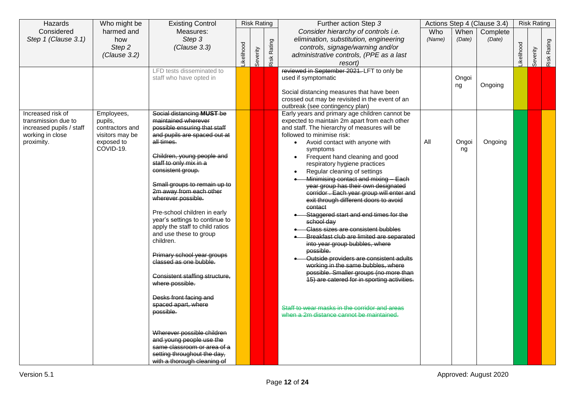| Hazards                                  | Who might be            | <b>Existing Control</b>                                    |           | <b>Risk Rating</b> |             | Further action Step 3                                                                           |            |        | Actions Step 4 (Clause 3.4) |                   | <b>Risk Rating</b> |             |
|------------------------------------------|-------------------------|------------------------------------------------------------|-----------|--------------------|-------------|-------------------------------------------------------------------------------------------------|------------|--------|-----------------------------|-------------------|--------------------|-------------|
| Considered                               | harmed and              | Measures:                                                  |           |                    |             | Consider hierarchy of controls i.e.                                                             | <b>Who</b> | When   | Complete                    |                   |                    |             |
| Step 1 (Clause 3.1)                      | how<br>Step 2           | Step 3<br>(Clause 3.3)                                     |           |                    |             | elimination, substitution, engineering<br>controls, signage/warning and/or                      | (Name)     | (Date) | (Date)                      |                   |                    |             |
|                                          | (Clause 3.2)            |                                                            |           |                    |             | administrative controls, (PPE as a last                                                         |            |        |                             |                   |                    |             |
|                                          |                         |                                                            | ikelihood | Severity           | Risk Rating | resort)                                                                                         |            |        |                             | <b>Likelihood</b> | Severity           | Risk Rating |
|                                          |                         | LFD tests disseminated to                                  |           |                    |             | reviewed in September 2021. LFT to only be                                                      |            |        |                             |                   |                    |             |
|                                          |                         | staff who have opted in                                    |           |                    |             | used if symptomatic                                                                             |            | Ongoi  |                             |                   |                    |             |
|                                          |                         |                                                            |           |                    |             | Social distancing measures that have been                                                       |            | ng     | Ongoing                     |                   |                    |             |
|                                          |                         |                                                            |           |                    |             | crossed out may be revisited in the event of an                                                 |            |        |                             |                   |                    |             |
|                                          |                         |                                                            |           |                    |             | outbreak (see contingency plan)                                                                 |            |        |                             |                   |                    |             |
| Increased risk of<br>transmission due to | Employees,<br>pupils,   | Social distancing MUST be<br>maintained wherever           |           |                    |             | Early years and primary age children cannot be<br>expected to maintain 2m apart from each other |            |        |                             |                   |                    |             |
| increased pupils / staff                 | contractors and         | possible ensuring that staff                               |           |                    |             | and staff. The hierarchy of measures will be                                                    |            |        |                             |                   |                    |             |
| working in close                         | visitors may be         | and pupils are spaced out at                               |           |                    |             | followed to minimise risk:                                                                      |            |        |                             |                   |                    |             |
| proximity.                               | exposed to<br>COVID-19. | all times.                                                 |           |                    |             | Avoid contact with anyone with<br>$\bullet$                                                     | All        | Ongoi  | Ongoing                     |                   |                    |             |
|                                          |                         | Children, young people and                                 |           |                    |             | symptoms<br>Frequent hand cleaning and good                                                     |            | ng     |                             |                   |                    |             |
|                                          |                         | staff to only mix in a                                     |           |                    |             | respiratory hygiene practices                                                                   |            |        |                             |                   |                    |             |
|                                          |                         | consistent group.                                          |           |                    |             | Regular cleaning of settings<br>$\bullet$                                                       |            |        |                             |                   |                    |             |
|                                          |                         | Small groups to remain up to                               |           |                    |             | Minimising contact and mixing Each<br>year group has their own designated                       |            |        |                             |                   |                    |             |
|                                          |                         | 2m away from each other                                    |           |                    |             | corridor . Each year group will enter and                                                       |            |        |                             |                   |                    |             |
|                                          |                         | wherever possible.                                         |           |                    |             | exit through different doors to avoid                                                           |            |        |                             |                   |                    |             |
|                                          |                         | Pre-school children in early                               |           |                    |             | contact                                                                                         |            |        |                             |                   |                    |             |
|                                          |                         | year's settings to continue to                             |           |                    |             | Staggered start and end times for the<br>school day                                             |            |        |                             |                   |                    |             |
|                                          |                         | apply the staff to child ratios                            |           |                    |             | Class sizes are consistent bubbles                                                              |            |        |                             |                   |                    |             |
|                                          |                         | and use these to group<br>children.                        |           |                    |             | Breakfast club are limited are separated                                                        |            |        |                             |                   |                    |             |
|                                          |                         |                                                            |           |                    |             | into year group bubbles, where                                                                  |            |        |                             |                   |                    |             |
|                                          |                         | Primary school year groups                                 |           |                    |             | possible.<br>Outside providers are consistent adults                                            |            |        |                             |                   |                    |             |
|                                          |                         | classed as one bubble.                                     |           |                    |             | working in the same bubbles, where                                                              |            |        |                             |                   |                    |             |
|                                          |                         | Consistent staffing structure,                             |           |                    |             | possible. Smaller groups (no more than                                                          |            |        |                             |                   |                    |             |
|                                          |                         | where possible.                                            |           |                    |             | 15) are catered for in sporting activities.                                                     |            |        |                             |                   |                    |             |
|                                          |                         |                                                            |           |                    |             |                                                                                                 |            |        |                             |                   |                    |             |
|                                          |                         | Desks front facing and<br>spaced apart, where              |           |                    |             |                                                                                                 |            |        |                             |                   |                    |             |
|                                          |                         | possible.                                                  |           |                    |             | Staff to wear masks in the corridor and areas<br>when a 2m distance cannot be maintained.       |            |        |                             |                   |                    |             |
|                                          |                         |                                                            |           |                    |             |                                                                                                 |            |        |                             |                   |                    |             |
|                                          |                         | Wherever possible children                                 |           |                    |             |                                                                                                 |            |        |                             |                   |                    |             |
|                                          |                         | and young people use the                                   |           |                    |             |                                                                                                 |            |        |                             |                   |                    |             |
|                                          |                         | same classroom or area of a                                |           |                    |             |                                                                                                 |            |        |                             |                   |                    |             |
|                                          |                         | setting throughout the day,<br>with a thorough cleaning of |           |                    |             |                                                                                                 |            |        |                             |                   |                    |             |
|                                          |                         |                                                            |           |                    |             |                                                                                                 |            |        |                             |                   |                    |             |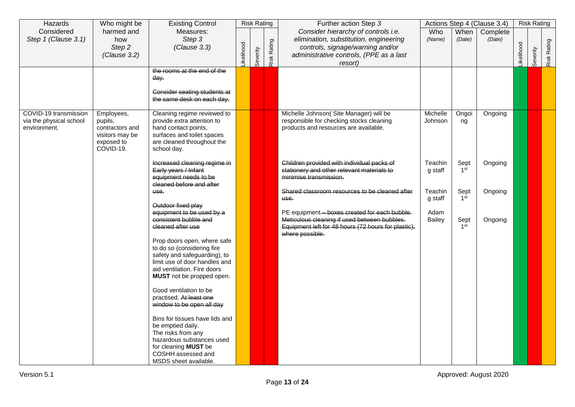| Hazards                                                          | Who might be                                                                           | <b>Existing Control</b>                                                                                                                                                                |           | <b>Risk Rating</b> |             | Further action Step 3                                                                                                                                                   |                       |                         | Actions Step 4 (Clause 3.4) |           | <b>Risk Rating</b> |             |
|------------------------------------------------------------------|----------------------------------------------------------------------------------------|----------------------------------------------------------------------------------------------------------------------------------------------------------------------------------------|-----------|--------------------|-------------|-------------------------------------------------------------------------------------------------------------------------------------------------------------------------|-----------------------|-------------------------|-----------------------------|-----------|--------------------|-------------|
| Considered<br>Step 1 (Clause 3.1)                                | harmed and<br>how<br>Step 2<br>(Clause 3.2)                                            | Measures:<br>Step 3<br>(Clause 3.3)                                                                                                                                                    | ikelihood | Severity           | Risk Rating | Consider hierarchy of controls i.e.<br>elimination, substitution, engineering<br>controls, signage/warning and/or<br>administrative controls, (PPE as a last<br>resort) | Who<br>(Name)         | When<br>(Date)          | Complete<br>(Date)          | ikelihood | Severity           | Risk Rating |
|                                                                  |                                                                                        | the rooms at the end of the<br>dav.<br>Consider seating students at<br>the same desk on each day.                                                                                      |           |                    |             |                                                                                                                                                                         |                       |                         |                             |           |                    |             |
| COVID-19 transmission<br>via the physical school<br>environment. | Employees,<br>pupils,<br>contractors and<br>visitors may be<br>exposed to<br>COVID-19. | Cleaning regime reviewed to<br>provide extra attention to<br>hand contact points,<br>surfaces and toilet spaces<br>are cleaned throughout the<br>school day.                           |           |                    |             | Michelle Johnson(Site Manager) will be<br>responsible for checking stocks cleaning<br>products and resources are available.                                             | Michelle<br>Johnson   | Ongoi<br>ng             | Ongoing                     |           |                    |             |
|                                                                  |                                                                                        | Increased cleaning regime in<br>Early years / Infant<br>equipment needs to be<br>cleaned before and after                                                                              |           |                    |             | Children provided with individual packs of<br>stationery and other relevant materials to<br>minimise transmission.                                                      | Teachin<br>g staff    | Sept<br>1 <sup>st</sup> | Ongoing                     |           |                    |             |
|                                                                  |                                                                                        | use.<br>Outdoor fixed play                                                                                                                                                             |           |                    |             | Shared classroom resources to be cleaned after<br>use.                                                                                                                  | Teachin<br>g staff    | Sept<br>1 <sup>st</sup> | Ongoing                     |           |                    |             |
|                                                                  |                                                                                        | equipment to be used by a<br>consistent bubble and<br>cleaned after use                                                                                                                |           |                    |             | PE equipment-boxes created for each bubble.<br>Meticulous cleaning if used between bubbles.<br>Equipment left for 48 hours (72 hours for plastic),<br>where possible.   | Adam<br><b>Bailey</b> | Sept<br>1 <sup>st</sup> | Ongoing                     |           |                    |             |
|                                                                  |                                                                                        | Prop doors open, where safe<br>to do so (considering fire<br>safety and safeguarding), to<br>limit use of door handles and<br>aid ventilation. Fire doors<br>MUST not be propped open. |           |                    |             |                                                                                                                                                                         |                       |                         |                             |           |                    |             |
|                                                                  |                                                                                        | Good ventilation to be<br>practised. At least one<br>window to be open all day                                                                                                         |           |                    |             |                                                                                                                                                                         |                       |                         |                             |           |                    |             |
|                                                                  |                                                                                        | Bins for tissues have lids and<br>be emptied daily.<br>The risks from any<br>hazardous substances used<br>for cleaning MUST be<br>COSHH assessed and<br>MSDS sheet available.          |           |                    |             |                                                                                                                                                                         |                       |                         |                             |           |                    |             |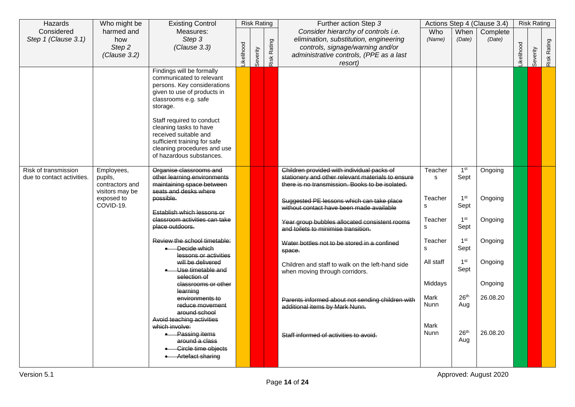| Hazards                                            | Who might be                                                                           | <b>Existing Control</b>                                                                                                                                                                                                                                                                                                                   |           |          | <b>Risk Rating</b> | Further action Step 3                                                                                                                                                                                                                                                                                                               |                                                                      |                                                                                                          | Actions Step 4 (Clause 3.4)                           |            | <b>Risk Rating</b> |             |
|----------------------------------------------------|----------------------------------------------------------------------------------------|-------------------------------------------------------------------------------------------------------------------------------------------------------------------------------------------------------------------------------------------------------------------------------------------------------------------------------------------|-----------|----------|--------------------|-------------------------------------------------------------------------------------------------------------------------------------------------------------------------------------------------------------------------------------------------------------------------------------------------------------------------------------|----------------------------------------------------------------------|----------------------------------------------------------------------------------------------------------|-------------------------------------------------------|------------|--------------------|-------------|
| Considered<br>Step 1 (Clause 3.1)                  | harmed and<br>how<br>Step 2<br>(Clause 3.2)                                            | Measures:<br>Step 3<br>(Clause 3.3)                                                                                                                                                                                                                                                                                                       | ikelihood | Severity | Risk Rating        | Consider hierarchy of controls i.e.<br>elimination, substitution, engineering<br>controls, signage/warning and/or<br>administrative controls, (PPE as a last<br>resort)                                                                                                                                                             | Who<br>(Name)                                                        | When<br>(Date)                                                                                           | Complete<br>(Date)                                    | Likelihood | Severity           | Risk Rating |
|                                                    |                                                                                        | Findings will be formally<br>communicated to relevant<br>persons. Key considerations<br>given to use of products in<br>classrooms e.g. safe<br>storage.<br>Staff required to conduct<br>cleaning tasks to have<br>received suitable and<br>sufficient training for safe<br>cleaning procedures and use<br>of hazardous substances.        |           |          |                    |                                                                                                                                                                                                                                                                                                                                     |                                                                      |                                                                                                          |                                                       |            |                    |             |
| Risk of transmission<br>due to contact activities. | Employees,<br>pupils,<br>contractors and<br>visitors may be<br>exposed to<br>COVID-19. | Organise classrooms and<br>other learning environments<br>maintaining space between<br>seats and desks where<br>possible.<br>Establish which lessons or<br>classroom activities can take<br>place outdoors.                                                                                                                               |           |          |                    | Children provided with individual packs of<br>stationery and other relevant materials to ensure<br>there is no transmission. Books to be isolated.<br>Suggested PE lessons which can take place<br>without contact have been made available<br>Year group bubbles allocated consistent rooms<br>and toilets to minimise transition. | Teacher<br>s<br>Teacher<br>s<br>Teacher<br>s                         | 1 <sup>st</sup><br>Sept<br>1 <sup>st</sup><br>Sept<br>1 <sup>st</sup><br>Sept                            | Ongoing<br>Ongoing<br>Ongoing                         |            |                    |             |
|                                                    |                                                                                        | Review the school timetable:<br>Decide which<br>lessons or activities<br>will be delivered<br>Use timetable and<br>selection of<br>classrooms or other<br>learning<br>environments to<br>reduce movement<br>around school<br>Avoid teaching activities<br>which involve:<br><b>Passing items</b><br>around a class<br>Circle time objects |           |          |                    | Water bottles not to be stored in a confined<br>space.<br>Children and staff to walk on the left-hand side<br>when moving through corridors.<br>Parents informed about not sending children with<br>additional items by Mark Nunn.<br>Staff informed of activities to avoid.                                                        | Teacher<br>s<br>All staff<br>Middays<br>Mark<br>Nunn<br>Mark<br>Nunn | 1 <sup>st</sup><br>Sept<br>1 <sup>st</sup><br>Sept<br>26 <sup>th</sup><br>Aug<br>26 <sup>th</sup><br>Aug | Ongoing<br>Ongoing<br>Ongoing<br>26.08.20<br>26.08.20 |            |                    |             |
|                                                    |                                                                                        | <b>Artefact sharing</b>                                                                                                                                                                                                                                                                                                                   |           |          |                    |                                                                                                                                                                                                                                                                                                                                     |                                                                      |                                                                                                          |                                                       |            |                    |             |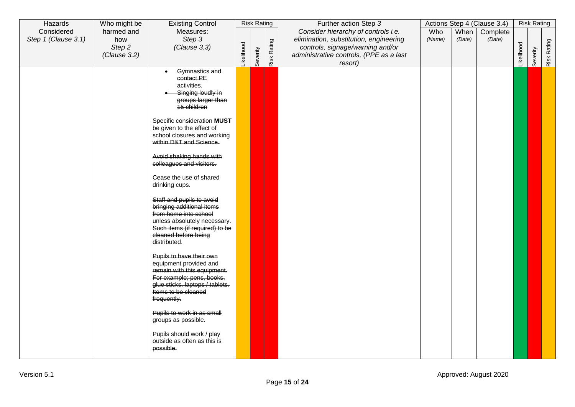| Hazards                           | Who might be           | <b>Existing Control</b>                                                                                                                                                                   |            | <b>Risk Rating</b> |             | Further action Step 3                                                                  |               |                | Actions Step 4 (Clause 3.4) |                   | <b>Risk Rating</b> |             |
|-----------------------------------|------------------------|-------------------------------------------------------------------------------------------------------------------------------------------------------------------------------------------|------------|--------------------|-------------|----------------------------------------------------------------------------------------|---------------|----------------|-----------------------------|-------------------|--------------------|-------------|
| Considered<br>Step 1 (Clause 3.1) | harmed and<br>how      | Measures:<br>Step 3                                                                                                                                                                       |            |                    |             | Consider hierarchy of controls i.e.<br>elimination, substitution, engineering          | Who<br>(Name) | When<br>(Date) | Complete<br>(Date)          |                   |                    |             |
|                                   | Step 2<br>(Clause 3.2) | (Clause 3.3)                                                                                                                                                                              | _ikelihood | Severity           | Risk Rating | controls, signage/warning and/or<br>administrative controls, (PPE as a last<br>resort) |               |                |                             | <b>Likelihood</b> | Severity           | Risk Rating |
|                                   |                        | Gymnastics and<br>contact PE<br>activities.<br>Singing loudly in<br>groups larger than<br>15 children                                                                                     |            |                    |             |                                                                                        |               |                |                             |                   |                    |             |
|                                   |                        | Specific consideration MUST<br>be given to the effect of<br>school closures and working<br>within D&T and Science.                                                                        |            |                    |             |                                                                                        |               |                |                             |                   |                    |             |
|                                   |                        | Avoid shaking hands with<br>colleagues and visitors.                                                                                                                                      |            |                    |             |                                                                                        |               |                |                             |                   |                    |             |
|                                   |                        | Cease the use of shared<br>drinking cups.                                                                                                                                                 |            |                    |             |                                                                                        |               |                |                             |                   |                    |             |
|                                   |                        | Staff and pupils to avoid<br>bringing additional items<br>from home into school<br>unless absolutely necessary.<br>Such items (if required) to be<br>cleaned before being<br>distributed. |            |                    |             |                                                                                        |               |                |                             |                   |                    |             |
|                                   |                        | Pupils to have their own<br>equipment provided and<br>remain with this equipment.<br>For example; pens, books,<br>glue sticks, laptops / tablets.<br>Items to be cleaned<br>frequently.   |            |                    |             |                                                                                        |               |                |                             |                   |                    |             |
|                                   |                        | Pupils to work in as small<br>groups as possible.                                                                                                                                         |            |                    |             |                                                                                        |               |                |                             |                   |                    |             |
|                                   |                        | Pupils should work / play<br>outside as often as this is<br>possible.                                                                                                                     |            |                    |             |                                                                                        |               |                |                             |                   |                    |             |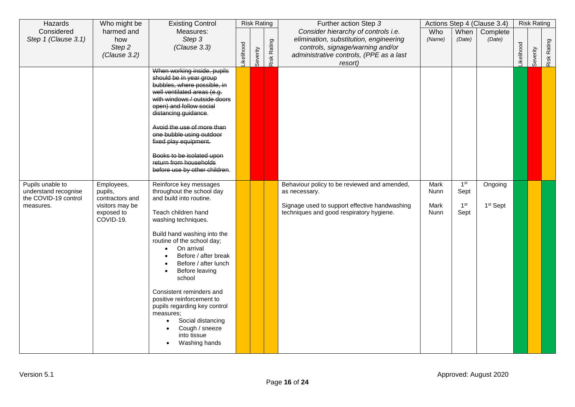| Hazards                                                                       | Who might be                                                                           | <b>Existing Control</b>                                                                                                                                                                                                                                                                                                                                                                                                                                                                    |                  | <b>Risk Rating</b> |             | Further action Step 3                                                                                                                                                   |                              |                                                    | Actions Step 4 (Clause 3.4)     |            | <b>Risk Rating</b> |             |
|-------------------------------------------------------------------------------|----------------------------------------------------------------------------------------|--------------------------------------------------------------------------------------------------------------------------------------------------------------------------------------------------------------------------------------------------------------------------------------------------------------------------------------------------------------------------------------------------------------------------------------------------------------------------------------------|------------------|--------------------|-------------|-------------------------------------------------------------------------------------------------------------------------------------------------------------------------|------------------------------|----------------------------------------------------|---------------------------------|------------|--------------------|-------------|
| Considered<br>Step 1 (Clause 3.1)                                             | harmed and<br>how<br>Step 2<br>(Clause 3.2)                                            | Measures:<br>Step 3<br>(Clause 3.3)                                                                                                                                                                                                                                                                                                                                                                                                                                                        | <b>ikelihood</b> | Severity           | Risk Rating | Consider hierarchy of controls i.e.<br>elimination, substitution, engineering<br>controls, signage/warning and/or<br>administrative controls, (PPE as a last<br>resort) | Who<br>(Name)                | When<br>(Date)                                     | Complete<br>(Date)              | Likelihood | Severity           | Risk Rating |
|                                                                               |                                                                                        | When working inside, pupils<br>should be in year group<br>bubbles, where possible, in<br>well ventilated areas (e.g.<br>with windows / outside doors<br>open) and follow social<br>distancing guidance.<br>Avoid the use of more than<br>one bubble using outdoor<br>fixed play equipment.<br>Books to be isolated upon<br>return from households<br>before use by other children.                                                                                                         |                  |                    |             |                                                                                                                                                                         |                              |                                                    |                                 |            |                    |             |
| Pupils unable to<br>understand recognise<br>the COVID-19 control<br>measures. | Employees,<br>pupils,<br>contractors and<br>visitors may be<br>exposed to<br>COVID-19. | Reinforce key messages<br>throughout the school day<br>and build into routine.<br>Teach children hand<br>washing techniques.<br>Build hand washing into the<br>routine of the school day;<br>On arrival<br>$\bullet$<br>Before / after break<br>Before / after lunch<br>Before leaving<br>$\bullet$<br>school<br>Consistent reminders and<br>positive reinforcement to<br>pupils regarding key control<br>measures;<br>Social distancing<br>Cough / sneeze<br>into tissue<br>Washing hands |                  |                    |             | Behaviour policy to be reviewed and amended,<br>as necessary.<br>Signage used to support effective handwashing<br>techniques and good respiratory hygiene.              | Mark<br>Nunn<br>Mark<br>Nunn | 1 <sup>st</sup><br>Sept<br>1 <sup>st</sup><br>Sept | Ongoing<br>1 <sup>st</sup> Sept |            |                    |             |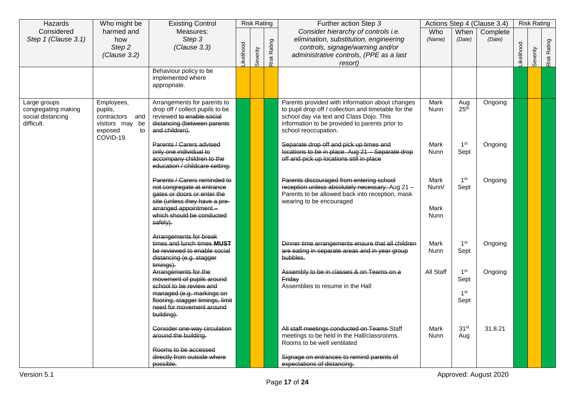| Hazards                                                                | Who might be                                                                                 | <b>Existing Control</b>                                                                                                                                                                      |           | <b>Risk Rating</b> |             | Further action Step 3                                                                                                                                                                                                         |                               |                                                    | Actions Step 4 (Clause 3.4) |            | <b>Risk Rating</b> |             |
|------------------------------------------------------------------------|----------------------------------------------------------------------------------------------|----------------------------------------------------------------------------------------------------------------------------------------------------------------------------------------------|-----------|--------------------|-------------|-------------------------------------------------------------------------------------------------------------------------------------------------------------------------------------------------------------------------------|-------------------------------|----------------------------------------------------|-----------------------------|------------|--------------------|-------------|
| Considered<br>Step 1 (Clause 3.1)                                      | harmed and<br>how<br>Step <sub>2</sub><br>(Clause 3.2)                                       | Measures:<br>Step 3<br>(Clause 3.3)                                                                                                                                                          | ikelihood | Severity           | Risk Rating | Consider hierarchy of controls i.e.<br>elimination, substitution, engineering<br>controls, signage/warning and/or<br>administrative controls, (PPE as a last<br>resort)                                                       | Who<br>(Name)                 | When<br>(Date)                                     | Complete<br>(Date)          | Likelihood | Severity           | Risk Rating |
|                                                                        |                                                                                              | Behaviour policy to be<br>implemented where<br>appropriate.                                                                                                                                  |           |                    |             |                                                                                                                                                                                                                               |                               |                                                    |                             |            |                    |             |
| Large groups<br>congregating making<br>social distancing<br>difficult. | Employees,<br>pupils,<br>contractors and<br>visitors may<br>be<br>exposed<br>to<br>COVID-19. | Arrangements for parents to<br>drop off / collect pupils to be<br>reviewed to enable social<br>distancing (between parents<br>and children).                                                 |           |                    |             | Parents provided with information about changes<br>to pupil drop off / collection and timetable for the<br>school day via text and Class Dojo. This<br>information to be provided to parents prior to<br>school reoccupation. | Mark<br>Nunn                  | Aug<br>25 <sup>th</sup>                            | Ongoing                     |            |                    |             |
|                                                                        |                                                                                              | Parents / Carers advised<br>only one individual to<br>accompany children to the<br>education / childcare setting.                                                                            |           |                    |             | Separate drop off and pick up times and<br>locations to be in place. Aug 21 - Separate drop<br>off and pick up locations still in place                                                                                       | <b>Mark</b><br>Nunn           | 1 <sup>st</sup><br>Sept                            | Ongoing                     |            |                    |             |
|                                                                        |                                                                                              | Parents / Carers reminded to<br>not congregate at entrance<br>gates or doors or enter the<br>site (unless they have a pre-<br>arranged appointment-<br>which should be conducted<br>safely). |           |                    |             | Parents discouraged from entering school<br>reception unless absolutely necessary. Aug 21 -<br>Parents to be allowed back into reception, mask<br>wearing to be encouraged                                                    | Mark<br>Nunn/<br>Mark<br>Nunn | 1 <sup>st</sup><br>Sept                            | Ongoing                     |            |                    |             |
|                                                                        |                                                                                              | Arrangements for break<br>times and lunch times MUST<br>be reviewed to enable social<br>distancing (e.g. stagger<br>timings).                                                                |           |                    |             | Dinner time arrangements ensure that all children<br>are eating in separate areas and in year group<br>bubbles.                                                                                                               | Mark<br>Nunn                  | 1 <sup>st</sup><br>Sept                            | Ongoing                     |            |                    |             |
|                                                                        |                                                                                              | Arrangements for the<br>movement of pupils around<br>school to be review and<br>managed (e.g. markings on<br>flooring, stagger timings, limit<br>need for movement around<br>building).      |           |                    |             | Assembly to be in classes & on Teams on a<br>Friday<br>Assemblies to resume in the Hall                                                                                                                                       | All Staff                     | 1 <sup>st</sup><br>Sept<br>1 <sup>st</sup><br>Sept | Ongoing                     |            |                    |             |
|                                                                        |                                                                                              | Consider one-way circulation<br>around the building.<br>Rooms to be accessed<br>directly from outside where<br>possible.                                                                     |           |                    |             | All staff meetings conducted on Teams Staff<br>meetings to be held in the Hall/classrooms.<br>Rooms to be well ventilated<br>Signage on entrances to remind parents of<br>expectations of distancing.                         | <b>Mark</b><br>Nunn           | 31 <sup>st</sup><br>Aug                            | 31.8.21                     |            |                    |             |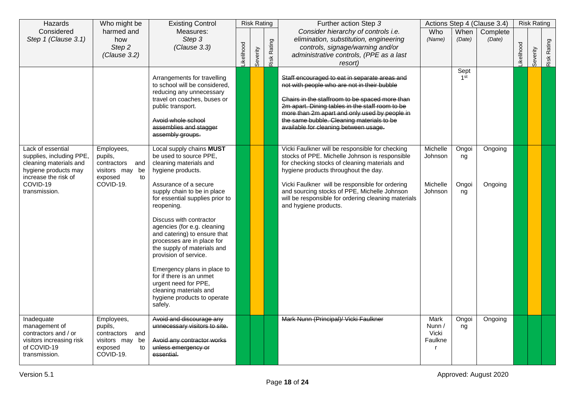| Hazards                                                                                                                                              | Who might be                                                                                    | <b>Existing Control</b>                                                                                                                                                                                                                                                                                                                                                                                                                                                                                                                           |           |          | <b>Risk Rating</b> | Further action Step 3                                                                                                                                                                                                                                                                                                                                                         |                                            |                            | Actions Step 4 (Clause 3.4) |           | <b>Risk Rating</b> |             |
|------------------------------------------------------------------------------------------------------------------------------------------------------|-------------------------------------------------------------------------------------------------|---------------------------------------------------------------------------------------------------------------------------------------------------------------------------------------------------------------------------------------------------------------------------------------------------------------------------------------------------------------------------------------------------------------------------------------------------------------------------------------------------------------------------------------------------|-----------|----------|--------------------|-------------------------------------------------------------------------------------------------------------------------------------------------------------------------------------------------------------------------------------------------------------------------------------------------------------------------------------------------------------------------------|--------------------------------------------|----------------------------|-----------------------------|-----------|--------------------|-------------|
| Considered<br>Step 1 (Clause 3.1)                                                                                                                    | harmed and<br>how<br>Step 2<br>(Clause 3.2)                                                     | Measures:<br>Step 3<br>(Clause 3.3)                                                                                                                                                                                                                                                                                                                                                                                                                                                                                                               | ikelihood | Severity | Risk Rating        | Consider hierarchy of controls i.e.<br>elimination, substitution, engineering<br>controls, signage/warning and/or<br>administrative controls, (PPE as a last<br>resort)                                                                                                                                                                                                       | Who<br>(Name)                              | When<br>(Date)             | Complete<br>(Date)          | ikelihood | Severity           | Risk Rating |
|                                                                                                                                                      |                                                                                                 | Arrangements for travelling<br>to school will be considered.<br>reducing any unnecessary<br>travel on coaches, buses or<br>public transport.<br>Avoid whole school<br>assemblies and stagger<br>assembly groups.                                                                                                                                                                                                                                                                                                                                  |           |          |                    | Staff encouraged to eat in separate areas and<br>not with people who are not in their bubble<br>Chairs in the staffroom to be spaced more than<br>2m apart. Dining tables in the staff room to be<br>more than 2m apart and only used by people in<br>the same bubble. Cleaning materials to be<br>available for cleaning between usage.                                      |                                            | Sept<br>1 <sup>st</sup>    |                             |           |                    |             |
| Lack of essential<br>supplies, including PPE,<br>cleaning materials and<br>hygiene products may<br>increase the risk of<br>COVID-19<br>transmission. | Employees,<br>pupils,<br>contractors and<br>visitors may be<br>exposed<br>to<br>COVID-19.       | Local supply chains MUST<br>be used to source PPE,<br>cleaning materials and<br>hygiene products.<br>Assurance of a secure<br>supply chain to be in place<br>for essential supplies prior to<br>reopening.<br>Discuss with contractor<br>agencies (for e.g. cleaning<br>and catering) to ensure that<br>processes are in place for<br>the supply of materials and<br>provision of service.<br>Emergency plans in place to<br>for if there is an unmet<br>urgent need for PPE,<br>cleaning materials and<br>hygiene products to operate<br>safely. |           |          |                    | Vicki Faulkner will be responsible for checking<br>stocks of PPE. Michelle Johnson is responsible<br>for checking stocks of cleaning materials and<br>hygiene products throughout the day.<br>Vicki Faulkner will be responsible for ordering<br>and sourcing stocks of PPE, Michelle Johnson<br>will be responsible for ordering cleaning materials<br>and hygiene products. | Michelle<br>Johnson<br>Michelle<br>Johnson | Ongoi<br>ng<br>Ongoi<br>ng | Ongoing<br>Ongoing          |           |                    |             |
| Inadequate<br>management of<br>contractors and / or<br>visitors increasing risk<br>of COVID-19<br>transmission.                                      | Employees,<br>pupils,<br>contractors<br>and<br>visitors may<br>be<br>exposed<br>to<br>COVID-19. | Avoid and discourage any<br>unnecessary visitors to site.<br>Avoid any contractor works<br>unless emergency or<br>essential.                                                                                                                                                                                                                                                                                                                                                                                                                      |           |          |                    | Mark Nunn (Principal)/ Vicki Faulkner                                                                                                                                                                                                                                                                                                                                         | Mark<br>Nunn /<br>Vicki<br>Faulkne         | Ongoi<br>ng                | Ongoing                     |           |                    |             |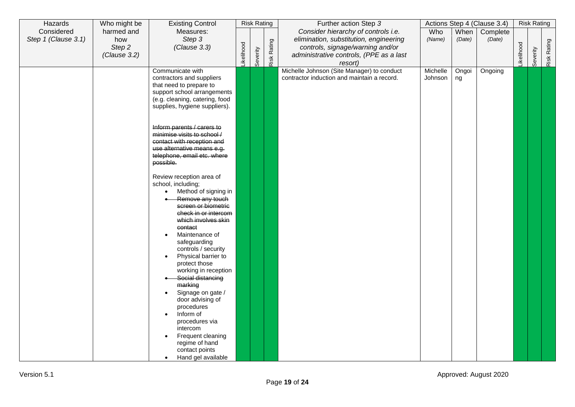| Hazards             | Who might be | <b>Existing Control</b>                                         |           | <b>Risk Rating</b> |             | Further action Step 3                       |          |        | Actions Step 4 (Clause 3.4) |            | <b>Risk Rating</b> |             |
|---------------------|--------------|-----------------------------------------------------------------|-----------|--------------------|-------------|---------------------------------------------|----------|--------|-----------------------------|------------|--------------------|-------------|
| Considered          | harmed and   | Measures:                                                       |           |                    |             | Consider hierarchy of controls i.e.         | Who      | When   | Complete                    |            |                    |             |
| Step 1 (Clause 3.1) | how          | Step 3                                                          |           |                    |             | elimination, substitution, engineering      | (Name)   | (Date) | (Date)                      |            |                    |             |
|                     | Step 2       | (Clause 3.3)                                                    |           |                    |             | controls, signage/warning and/or            |          |        |                             |            |                    |             |
|                     | (Clause 3.2) |                                                                 | ikelihood |                    |             | administrative controls, (PPE as a last     |          |        |                             | Likelihood |                    |             |
|                     |              |                                                                 |           | Severity           | Risk Rating | resort)                                     |          |        |                             |            | Severity           | Risk Rating |
|                     |              | Communicate with                                                |           |                    |             | Michelle Johnson (Site Manager) to conduct  | Michelle | Ongoi  | Ongoing                     |            |                    |             |
|                     |              | contractors and suppliers                                       |           |                    |             | contractor induction and maintain a record. | Johnson  | ng     |                             |            |                    |             |
|                     |              | that need to prepare to                                         |           |                    |             |                                             |          |        |                             |            |                    |             |
|                     |              | support school arrangements                                     |           |                    |             |                                             |          |        |                             |            |                    |             |
|                     |              | (e.g. cleaning, catering, food<br>supplies, hygiene suppliers). |           |                    |             |                                             |          |        |                             |            |                    |             |
|                     |              |                                                                 |           |                    |             |                                             |          |        |                             |            |                    |             |
|                     |              |                                                                 |           |                    |             |                                             |          |        |                             |            |                    |             |
|                     |              | Inform parents / carers to                                      |           |                    |             |                                             |          |        |                             |            |                    |             |
|                     |              | minimise visits to school /                                     |           |                    |             |                                             |          |        |                             |            |                    |             |
|                     |              | contact with reception and<br>use alternative means e.g.        |           |                    |             |                                             |          |        |                             |            |                    |             |
|                     |              | telephone, email etc. where                                     |           |                    |             |                                             |          |        |                             |            |                    |             |
|                     |              | possible.                                                       |           |                    |             |                                             |          |        |                             |            |                    |             |
|                     |              |                                                                 |           |                    |             |                                             |          |        |                             |            |                    |             |
|                     |              | Review reception area of                                        |           |                    |             |                                             |          |        |                             |            |                    |             |
|                     |              | school, including;                                              |           |                    |             |                                             |          |        |                             |            |                    |             |
|                     |              | Method of signing in<br>$\bullet$<br>Remove any touch           |           |                    |             |                                             |          |        |                             |            |                    |             |
|                     |              | screen or biometric                                             |           |                    |             |                                             |          |        |                             |            |                    |             |
|                     |              | check in or intercom                                            |           |                    |             |                                             |          |        |                             |            |                    |             |
|                     |              | which involves skin                                             |           |                    |             |                                             |          |        |                             |            |                    |             |
|                     |              | contact                                                         |           |                    |             |                                             |          |        |                             |            |                    |             |
|                     |              | Maintenance of<br>$\bullet$                                     |           |                    |             |                                             |          |        |                             |            |                    |             |
|                     |              | safeguarding                                                    |           |                    |             |                                             |          |        |                             |            |                    |             |
|                     |              | controls / security<br>Physical barrier to                      |           |                    |             |                                             |          |        |                             |            |                    |             |
|                     |              | protect those                                                   |           |                    |             |                                             |          |        |                             |            |                    |             |
|                     |              | working in reception                                            |           |                    |             |                                             |          |        |                             |            |                    |             |
|                     |              | Social distancing                                               |           |                    |             |                                             |          |        |                             |            |                    |             |
|                     |              | marking                                                         |           |                    |             |                                             |          |        |                             |            |                    |             |
|                     |              | Signage on gate /                                               |           |                    |             |                                             |          |        |                             |            |                    |             |
|                     |              | door advising of                                                |           |                    |             |                                             |          |        |                             |            |                    |             |
|                     |              | procedures<br>Inform of<br>$\bullet$                            |           |                    |             |                                             |          |        |                             |            |                    |             |
|                     |              | procedures via                                                  |           |                    |             |                                             |          |        |                             |            |                    |             |
|                     |              | intercom                                                        |           |                    |             |                                             |          |        |                             |            |                    |             |
|                     |              | Frequent cleaning<br>$\bullet$                                  |           |                    |             |                                             |          |        |                             |            |                    |             |
|                     |              | regime of hand                                                  |           |                    |             |                                             |          |        |                             |            |                    |             |
|                     |              | contact points                                                  |           |                    |             |                                             |          |        |                             |            |                    |             |
|                     |              | Hand gel available<br>$\bullet$                                 |           |                    |             |                                             |          |        |                             |            |                    |             |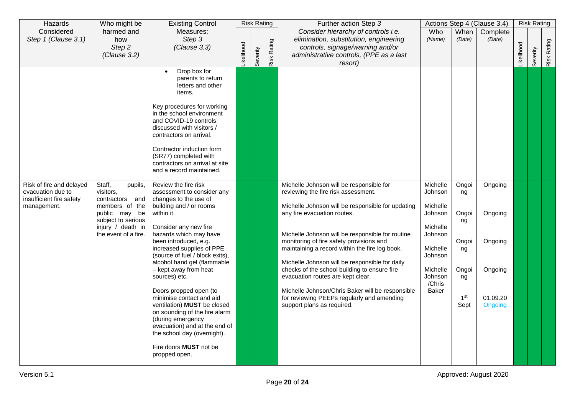| Hazards                                                                                  | Who might be                                                                                                                                            | <b>Existing Control</b>                                                                                                                                                                                                                                                                                                                                                                                                                                                                                                                                                                         |                  | <b>Risk Rating</b> |                    | Further action Step 3                                                                                                                                                                                                                                                                                                                                                                                                                                                                                                                                                                        |                                                                                                                                    |                                                                                     | Actions Step 4 (Clause 3.4)                                     |            | <b>Risk Rating</b> |             |
|------------------------------------------------------------------------------------------|---------------------------------------------------------------------------------------------------------------------------------------------------------|-------------------------------------------------------------------------------------------------------------------------------------------------------------------------------------------------------------------------------------------------------------------------------------------------------------------------------------------------------------------------------------------------------------------------------------------------------------------------------------------------------------------------------------------------------------------------------------------------|------------------|--------------------|--------------------|----------------------------------------------------------------------------------------------------------------------------------------------------------------------------------------------------------------------------------------------------------------------------------------------------------------------------------------------------------------------------------------------------------------------------------------------------------------------------------------------------------------------------------------------------------------------------------------------|------------------------------------------------------------------------------------------------------------------------------------|-------------------------------------------------------------------------------------|-----------------------------------------------------------------|------------|--------------------|-------------|
| Considered<br>Step 1 (Clause 3.1)                                                        | harmed and<br>how<br>Step 2<br>(Clause 3.2)                                                                                                             | Measures:<br>Step 3<br>(Clause 3.3)                                                                                                                                                                                                                                                                                                                                                                                                                                                                                                                                                             | <b>ikelihood</b> | Severity           | <b>Risk Rating</b> | Consider hierarchy of controls i.e.<br>elimination, substitution, engineering<br>controls, signage/warning and/or<br>administrative controls, (PPE as a last<br>resort)                                                                                                                                                                                                                                                                                                                                                                                                                      | Who<br>(Name)                                                                                                                      | When<br>(Date)                                                                      | Complete<br>(Date)                                              | Likelihood | Severity           | Risk Rating |
|                                                                                          |                                                                                                                                                         | Drop box for<br>$\bullet$<br>parents to return<br>letters and other<br>items.<br>Key procedures for working<br>in the school environment<br>and COVID-19 controls<br>discussed with visitors /<br>contractors on arrival.<br>Contractor induction form<br>(SR77) completed with<br>contractors on arrival at site<br>and a record maintained.                                                                                                                                                                                                                                                   |                  |                    |                    |                                                                                                                                                                                                                                                                                                                                                                                                                                                                                                                                                                                              |                                                                                                                                    |                                                                                     |                                                                 |            |                    |             |
| Risk of fire and delayed<br>evacuation due to<br>insufficient fire safety<br>management. | Staff,<br>pupils,<br>visitors,<br>contractors and<br>members of the<br>public may be<br>subject to serious<br>injury / death in<br>the event of a fire. | Review the fire risk<br>assessment to consider any<br>changes to the use of<br>building and / or rooms<br>within it.<br>Consider any new fire<br>hazards which may have<br>been introduced, e.g.<br>increased supplies of PPE<br>(source of fuel / block exits),<br>alcohol hand gel (flammable<br>- kept away from heat<br>sources) etc.<br>Doors propped open (to<br>minimise contact and aid<br>ventilation) MUST be closed<br>on sounding of the fire alarm<br>(during emergency<br>evacuation) and at the end of<br>the school day (overnight).<br>Fire doors MUST not be<br>propped open. |                  |                    |                    | Michelle Johnson will be responsible for<br>reviewing the fire risk assessment.<br>Michelle Johnson will be responsible for updating<br>any fire evacuation routes.<br>Michelle Johnson will be responsible for routine<br>monitoring of fire safety provisions and<br>maintaining a record within the fire log book.<br>Michelle Johnson will be responsible for daily<br>checks of the school building to ensure fire<br>evacuation routes are kept clear.<br>Michelle Johnson/Chris Baker will be responsible<br>for reviewing PEEPs regularly and amending<br>support plans as required. | Michelle<br>Johnson<br>Michelle<br>Johnson<br>Michelle<br>Johnson<br>Michelle<br>Johnson<br>Michelle<br>Johnson<br>/Chris<br>Baker | Ongoi<br>ng<br>Ongoi<br>ng<br>Ongoi<br>ng<br>Ongoi<br>ng<br>1 <sup>st</sup><br>Sept | Ongoing<br>Ongoing<br>Ongoing<br>Ongoing<br>01.09.20<br>Ongoing |            |                    |             |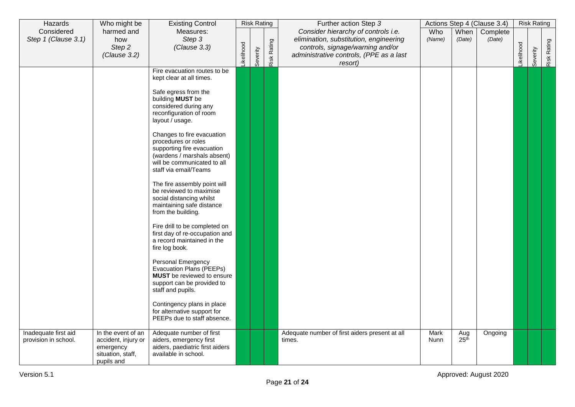| Hazards                                      | Who might be                                                                              | <b>Existing Control</b>                                                                                                                                                                                                                                                                                                                                                                                                                                                                                                                                                                                                                                                                                                                                                                                                                                  |           | <b>Risk Rating</b> |             | Further action Step 3                                                                                                                                                   |               |                         | Actions Step 4 (Clause 3.4) |                  | <b>Risk Rating</b> |             |
|----------------------------------------------|-------------------------------------------------------------------------------------------|----------------------------------------------------------------------------------------------------------------------------------------------------------------------------------------------------------------------------------------------------------------------------------------------------------------------------------------------------------------------------------------------------------------------------------------------------------------------------------------------------------------------------------------------------------------------------------------------------------------------------------------------------------------------------------------------------------------------------------------------------------------------------------------------------------------------------------------------------------|-----------|--------------------|-------------|-------------------------------------------------------------------------------------------------------------------------------------------------------------------------|---------------|-------------------------|-----------------------------|------------------|--------------------|-------------|
| Considered<br>Step 1 (Clause 3.1)            | harmed and<br>how<br>Step 2<br>(Clause 3.2)                                               | Measures:<br>Step 3<br>(Clause 3.3)                                                                                                                                                                                                                                                                                                                                                                                                                                                                                                                                                                                                                                                                                                                                                                                                                      | ikelihood | Severity           | Risk Rating | Consider hierarchy of controls i.e.<br>elimination, substitution, engineering<br>controls, signage/warning and/or<br>administrative controls, (PPE as a last<br>resort) | Who<br>(Name) | When<br>(Date)          | Complete<br>(Date)          | <b>ikelihood</b> | Severity           | Risk Rating |
|                                              |                                                                                           | Fire evacuation routes to be<br>kept clear at all times.<br>Safe egress from the<br>building MUST be<br>considered during any<br>reconfiguration of room<br>layout / usage.<br>Changes to fire evacuation<br>procedures or roles<br>supporting fire evacuation<br>(wardens / marshals absent)<br>will be communicated to all<br>staff via email/Teams<br>The fire assembly point will<br>be reviewed to maximise<br>social distancing whilst<br>maintaining safe distance<br>from the building.<br>Fire drill to be completed on<br>first day of re-occupation and<br>a record maintained in the<br>fire log book.<br>Personal Emergency<br>Evacuation Plans (PEEPs)<br><b>MUST</b> be reviewed to ensure<br>support can be provided to<br>staff and pupils.<br>Contingency plans in place<br>for alternative support for<br>PEEPs due to staff absence. |           |                    |             |                                                                                                                                                                         |               |                         |                             |                  |                    |             |
| Inadequate first aid<br>provision in school. | In the event of an<br>accident, injury or<br>emergency<br>situation, staff,<br>pupils and | Adequate number of first<br>aiders, emergency first<br>aiders, paediatric first aiders<br>available in school.                                                                                                                                                                                                                                                                                                                                                                                                                                                                                                                                                                                                                                                                                                                                           |           |                    |             | Adequate number of first aiders present at all<br>times.                                                                                                                | Mark<br>Nunn  | Aug<br>25 <sup>th</sup> | Ongoing                     |                  |                    |             |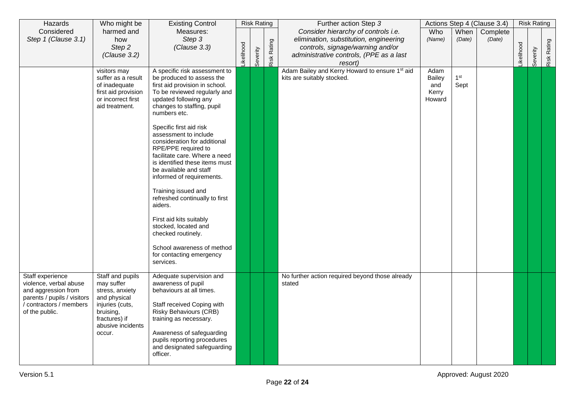| Hazards                                                                                                                                     | Who might be                                                                                                                                      | <b>Existing Control</b>                                                                                                                                                                                                                                                                                                                                                                                                                                                                                                                                                                                                                                      |                  | <b>Risk Rating</b> |             | Further action Step 3                                                        |                                                 |                         | Actions Step 4 (Clause 3.4) |            | <b>Risk Rating</b> |             |
|---------------------------------------------------------------------------------------------------------------------------------------------|---------------------------------------------------------------------------------------------------------------------------------------------------|--------------------------------------------------------------------------------------------------------------------------------------------------------------------------------------------------------------------------------------------------------------------------------------------------------------------------------------------------------------------------------------------------------------------------------------------------------------------------------------------------------------------------------------------------------------------------------------------------------------------------------------------------------------|------------------|--------------------|-------------|------------------------------------------------------------------------------|-------------------------------------------------|-------------------------|-----------------------------|------------|--------------------|-------------|
| Considered                                                                                                                                  | harmed and                                                                                                                                        | Measures:                                                                                                                                                                                                                                                                                                                                                                                                                                                                                                                                                                                                                                                    |                  |                    |             | Consider hierarchy of controls i.e.                                          | Who                                             | When                    | Complete                    |            |                    |             |
| Step 1 (Clause 3.1)                                                                                                                         | how                                                                                                                                               | Step 3                                                                                                                                                                                                                                                                                                                                                                                                                                                                                                                                                                                                                                                       |                  |                    |             | elimination, substitution, engineering                                       | (Name)                                          | (Date)                  | (Date)                      |            |                    |             |
|                                                                                                                                             | Step 2<br>(Clause 3.2)                                                                                                                            | (Clause 3.3)                                                                                                                                                                                                                                                                                                                                                                                                                                                                                                                                                                                                                                                 |                  |                    |             | controls, signage/warning and/or<br>administrative controls, (PPE as a last  |                                                 |                         |                             |            |                    |             |
|                                                                                                                                             |                                                                                                                                                   |                                                                                                                                                                                                                                                                                                                                                                                                                                                                                                                                                                                                                                                              | <b>ikelihood</b> | Severity           | Risk Rating | resort)                                                                      |                                                 |                         |                             | Likelihood | Severity           | Risk Rating |
|                                                                                                                                             | visitors may<br>suffer as a result<br>of inadequate<br>first aid provision<br>or incorrect first<br>aid treatment.                                | A specific risk assessment to<br>be produced to assess the<br>first aid provision in school.<br>To be reviewed regularly and<br>updated following any<br>changes to staffing, pupil<br>numbers etc.<br>Specific first aid risk<br>assessment to include<br>consideration for additional<br>RPE/PPE required to<br>facilitate care. Where a need<br>is identified these items must<br>be available and staff<br>informed of requirements.<br>Training issued and<br>refreshed continually to first<br>aiders.<br>First aid kits suitably<br>stocked, located and<br>checked routinely.<br>School awareness of method<br>for contacting emergency<br>services. |                  |                    |             | Adam Bailey and Kerry Howard to ensure 1st aid<br>kits are suitably stocked. | Adam<br><b>Bailey</b><br>and<br>Kerry<br>Howard | 1 <sup>st</sup><br>Sept |                             |            |                    |             |
| Staff experience<br>violence, verbal abuse<br>and aggression from<br>parents / pupils / visitors<br>contractors / members<br>of the public. | Staff and pupils<br>may suffer<br>stress, anxiety<br>and physical<br>injuries (cuts,<br>bruising,<br>fractures) if<br>abusive incidents<br>occur. | Adequate supervision and<br>awareness of pupil<br>behaviours at all times.<br>Staff received Coping with<br><b>Risky Behaviours (CRB)</b><br>training as necessary.<br>Awareness of safeguarding<br>pupils reporting procedures<br>and designated safeguarding<br>officer.                                                                                                                                                                                                                                                                                                                                                                                   |                  |                    |             | No further action required beyond those already<br>stated                    |                                                 |                         |                             |            |                    |             |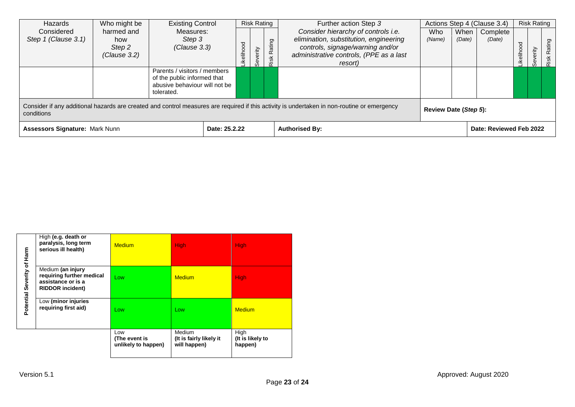| Hazards                                                                                                                                                   | Who might be                                           | <b>Existing Control</b>                                                    |                              |           | <b>Risk Rating</b> |                       | Further action Step 3                   |        |        | Actions Step 4 (Clause 3.4) |               | <b>Risk Rating</b> |        |
|-----------------------------------------------------------------------------------------------------------------------------------------------------------|--------------------------------------------------------|----------------------------------------------------------------------------|------------------------------|-----------|--------------------|-----------------------|-----------------------------------------|--------|--------|-----------------------------|---------------|--------------------|--------|
| Considered                                                                                                                                                | harmed and                                             | Measures:                                                                  |                              |           |                    |                       | Consider hierarchy of controls i.e.     | Who    | When   | Complete                    |               |                    |        |
| Step 1 (Clause 3.1)                                                                                                                                       | how                                                    | Step 3                                                                     |                              |           |                    |                       | elimination, substitution, engineering  | (Name) | (Date) | (Date)                      | ਹ             |                    |        |
|                                                                                                                                                           | Step 2                                                 | (Clause 3.3)                                                               |                              |           |                    |                       | controls, signage/warning and/or        |        |        |                             |               |                    | Rating |
|                                                                                                                                                           | (Clause 3.2)                                           |                                                                            |                              | ikelihood | verity             | Risk Rating           | administrative controls, (PPE as a last |        |        |                             | <b>ikelih</b> | erity              |        |
|                                                                                                                                                           |                                                        |                                                                            | Parents / visitors / members |           |                    |                       | resort)                                 |        |        |                             |               | Sev                | Risk   |
|                                                                                                                                                           |                                                        | of the public informed that<br>abusive behaviour will not be<br>tolerated. |                              |           |                    |                       |                                         |        |        |                             |               |                    |        |
| Consider if any additional hazards are created and control measures are required if this activity is undertaken in non-routine or emergency<br>conditions |                                                        |                                                                            |                              |           |                    | Review Date (Step 5): |                                         |        |        |                             |               |                    |        |
|                                                                                                                                                           | <b>Assessors Signature: Mark Nunn</b><br>Date: 25.2.22 |                                                                            |                              |           |                    |                       | <b>Authorised By:</b>                   |        |        | Date: Reviewed Feb 2022     |               |                    |        |

|                            |                                                                                                 | Low<br>(The event is<br>unlikely to happen) | <b>Medium</b><br>(It is fairly likely it<br>will happen) | High<br>(It is likely to<br>happen) |
|----------------------------|-------------------------------------------------------------------------------------------------|---------------------------------------------|----------------------------------------------------------|-------------------------------------|
| Potential Severity of Harm | Low (minor injuries<br>requiring first aid)                                                     | Low                                         | Low                                                      | <b>Medium</b>                       |
|                            | Medium (an injury<br>requiring further medical<br>assistance or is a<br><b>RIDDOR incident)</b> | Low                                         | <b>Medium</b>                                            | <b>High</b>                         |
|                            | High (e.g. death or<br>paralysis, long term<br>serious ill health)                              | <b>Medium</b>                               | <b>High</b>                                              | <b>High</b>                         |